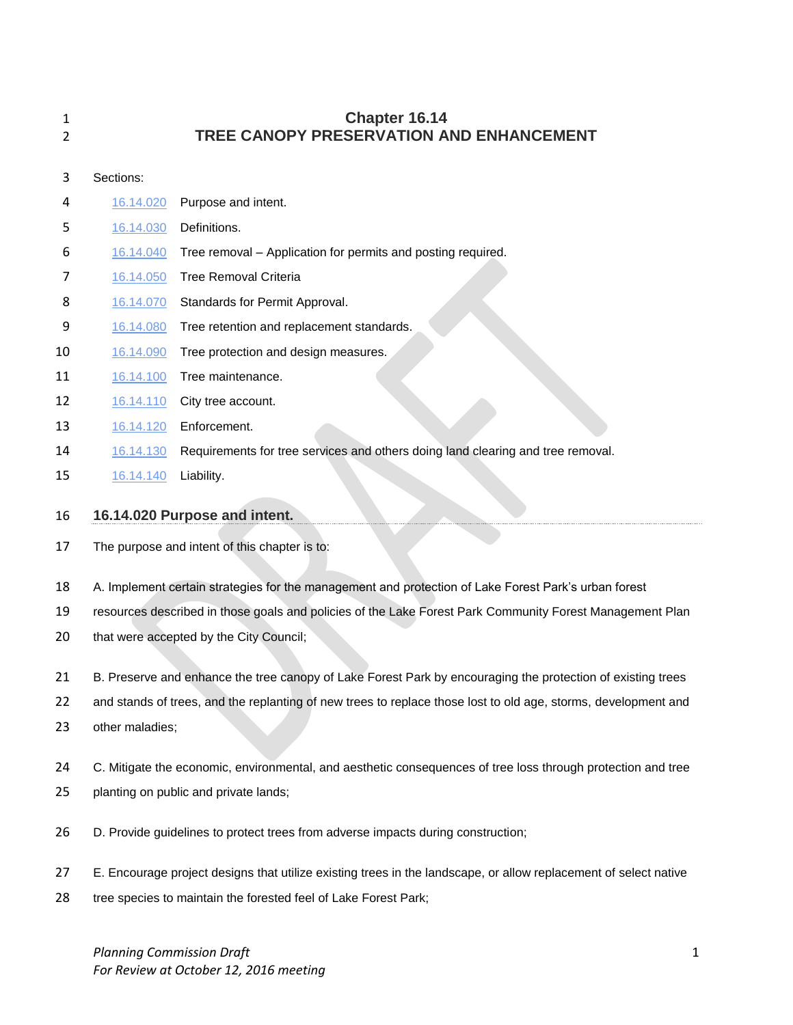| 1<br>2 |                                               | Chapter 16.14<br>TREE CANOPY PRESERVATION AND ENHANCEMENT                                                      |
|--------|-----------------------------------------------|----------------------------------------------------------------------------------------------------------------|
| 3      | Sections:                                     |                                                                                                                |
| 4      | 16.14.020                                     | Purpose and intent.                                                                                            |
| 5      | 16.14.030                                     | Definitions.                                                                                                   |
| 6      | 16.14.040                                     | Tree removal - Application for permits and posting required.                                                   |
| 7      | 16.14.050                                     | <b>Tree Removal Criteria</b>                                                                                   |
| 8      | 16.14.070                                     | Standards for Permit Approval.                                                                                 |
| 9      | 16.14.080                                     | Tree retention and replacement standards.                                                                      |
| 10     | 16.14.090                                     | Tree protection and design measures.                                                                           |
| 11     | 16.14.100                                     | Tree maintenance.                                                                                              |
| 12     | 16.14.110                                     | City tree account.                                                                                             |
| 13     | 16.14.120                                     | Enforcement.                                                                                                   |
| 14     | 16.14.130                                     | Requirements for tree services and others doing land clearing and tree removal.                                |
| 15     | 16.14.140                                     | Liability.                                                                                                     |
| 16     |                                               | 16.14.020 Purpose and intent.                                                                                  |
| 17     | The purpose and intent of this chapter is to: |                                                                                                                |
| 18     |                                               | A. Implement certain strategies for the management and protection of Lake Forest Park's urban forest           |
| 19     |                                               | resources described in those goals and policies of the Lake Forest Park Community Forest Management Plan       |
| 20     |                                               | that were accepted by the City Council;                                                                        |
| 21     |                                               | B. Preserve and enhance the tree canopy of Lake Forest Park by encouraging the protection of existing trees    |
| 22     |                                               | and stands of trees, and the replanting of new trees to replace those lost to old age, storms, development and |

- other maladies;
- 24 C. Mitigate the economic, environmental, and aesthetic consequences of tree loss through protection and tree
- planting on public and private lands;
- D. Provide guidelines to protect trees from adverse impacts during construction;
- E. Encourage project designs that utilize existing trees in the landscape, or allow replacement of select native
- tree species to maintain the forested feel of Lake Forest Park;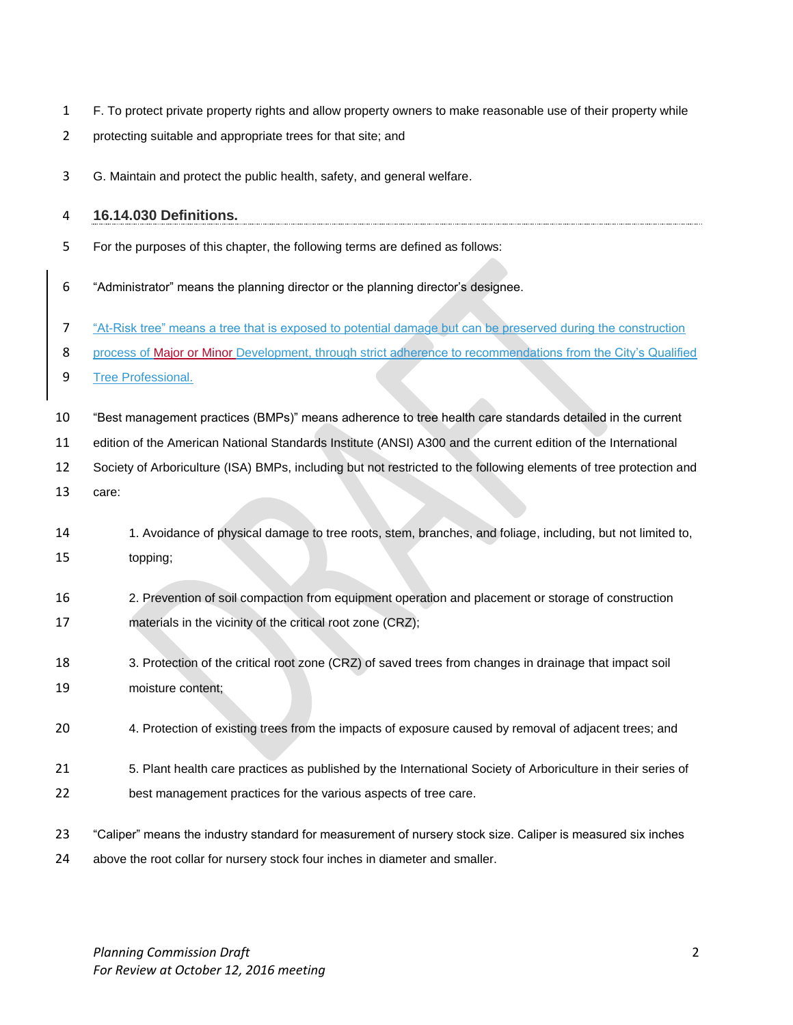- F. To protect private property rights and allow property owners to make reasonable use of their property while
- protecting suitable and appropriate trees for that site; and
- G. Maintain and protect the public health, safety, and general welfare.

#### **16.14.030 Definitions.**

- For the purposes of this chapter, the following terms are defined as follows:
- "Administrator" means the planning director or the planning director's designee.
- "At-Risk tree" means a tree that is exposed to potential damage but can be preserved during the construction
- 8 process of Major or Minor Development, through strict adherence to recommendations from the City's Qualified
- Tree Professional.
- "Best management practices (BMPs)" means adherence to tree health care standards detailed in the current
- edition of the American National Standards Institute (ANSI) A300 and the current edition of the International
- Society of Arboriculture (ISA) BMPs, including but not restricted to the following elements of tree protection and
- care:
- 1. Avoidance of physical damage to tree roots, stem, branches, and foliage, including, but not limited to, topping;
- 2. Prevention of soil compaction from equipment operation and placement or storage of construction materials in the vicinity of the critical root zone (CRZ);
- 3. Protection of the critical root zone (CRZ) of saved trees from changes in drainage that impact soil moisture content;
- 4. Protection of existing trees from the impacts of exposure caused by removal of adjacent trees; and
- 5. Plant health care practices as published by the International Society of Arboriculture in their series of best management practices for the various aspects of tree care.
- "Caliper" means the industry standard for measurement of nursery stock size. Caliper is measured six inches above the root collar for nursery stock four inches in diameter and smaller.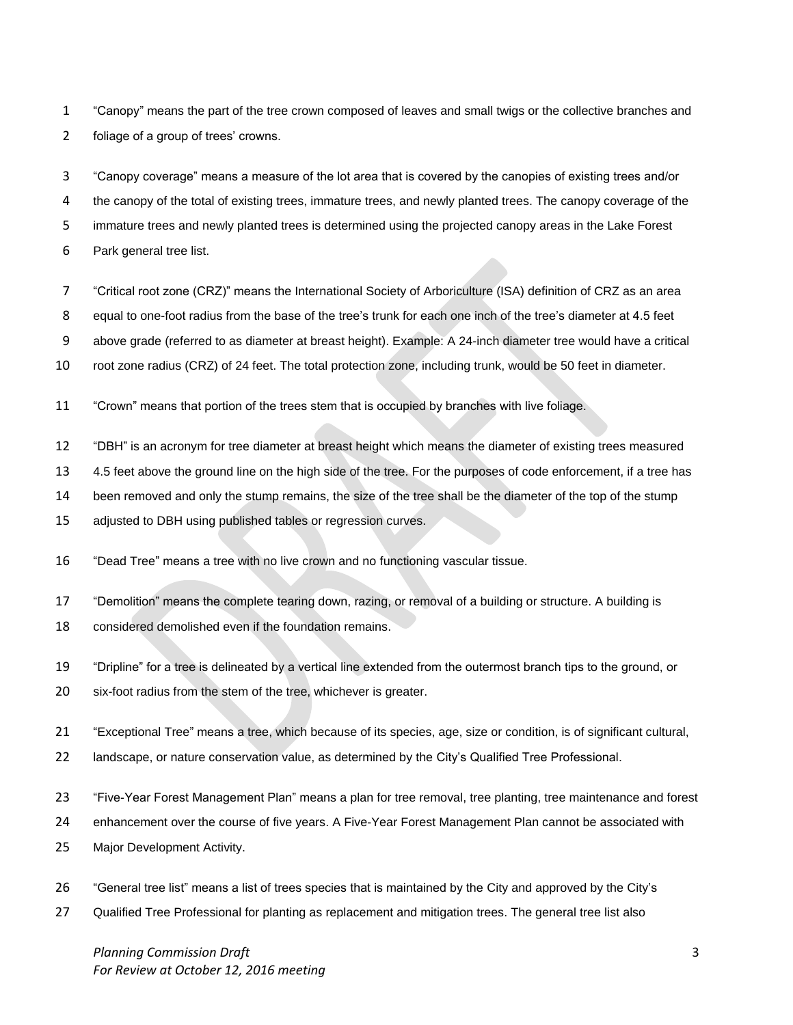"Canopy" means the part of the tree crown composed of leaves and small twigs or the collective branches and foliage of a group of trees' crowns.

 "Canopy coverage" means a measure of the lot area that is covered by the canopies of existing trees and/or the canopy of the total of existing trees, immature trees, and newly planted trees. The canopy coverage of the immature trees and newly planted trees is determined using the projected canopy areas in the Lake Forest Park general tree list.

- "Critical root zone (CRZ)" means the International Society of Arboriculture (ISA) definition of CRZ as an area
- equal to one-foot radius from the base of the tree's trunk for each one inch of the tree's diameter at 4.5 feet
- above grade (referred to as diameter at breast height). Example: A 24-inch diameter tree would have a critical
- root zone radius (CRZ) of 24 feet. The total protection zone, including trunk, would be 50 feet in diameter.
- "Crown" means that portion of the trees stem that is occupied by branches with live foliage.
- "DBH" is an acronym for tree diameter at breast height which means the diameter of existing trees measured
- 4.5 feet above the ground line on the high side of the tree. For the purposes of code enforcement, if a tree has
- been removed and only the stump remains, the size of the tree shall be the diameter of the top of the stump
- 15 adjusted to DBH using published tables or regression curves.
- "Dead Tree" means a tree with no live crown and no functioning vascular tissue.
- "Demolition" means the complete tearing down, razing, or removal of a building or structure. A building is
- considered demolished even if the foundation remains.
- "Dripline" for a tree is delineated by a vertical line extended from the outermost branch tips to the ground, or six-foot radius from the stem of the tree, whichever is greater.
- "Exceptional Tree" means a tree, which because of its species, age, size or condition, is of significant cultural,
- landscape, or nature conservation value, as determined by the City's Qualified Tree Professional.
- "Five-Year Forest Management Plan" means a plan for tree removal, tree planting, tree maintenance and forest
- enhancement over the course of five years. A Five-Year Forest Management Plan cannot be associated with
- Major Development Activity.
- "General tree list" means a list of trees species that is maintained by the City and approved by the City's
- Qualified Tree Professional for planting as replacement and mitigation trees. The general tree list also

*Planning Commission Draft* 3 *For Review at October 12, 2016 meeting*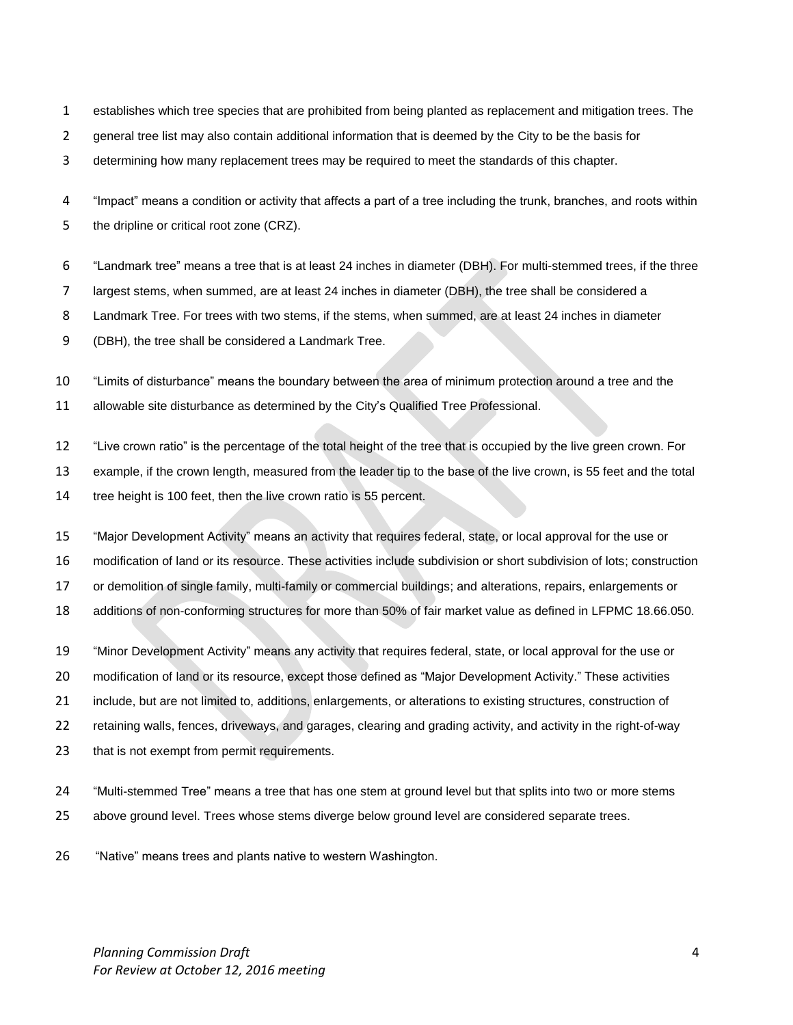- establishes which tree species that are prohibited from being planted as replacement and mitigation trees. The
- 2 general tree list may also contain additional information that is deemed by the City to be the basis for

determining how many replacement trees may be required to meet the standards of this chapter.

 "Impact" means a condition or activity that affects a part of a tree including the trunk, branches, and roots within 5 the dripline or critical root zone (CRZ).

"Landmark tree" means a tree that is at least 24 inches in diameter (DBH). For multi-stemmed trees, if the three

largest stems, when summed, are at least 24 inches in diameter (DBH), the tree shall be considered a

Landmark Tree. For trees with two stems, if the stems, when summed, are at least 24 inches in diameter

(DBH), the tree shall be considered a Landmark Tree.

"Limits of disturbance" means the boundary between the area of minimum protection around a tree and the

allowable site disturbance as determined by the City's Qualified Tree Professional.

"Live crown ratio" is the percentage of the total height of the tree that is occupied by the live green crown. For

example, if the crown length, measured from the leader tip to the base of the live crown, is 55 feet and the total

tree height is 100 feet, then the live crown ratio is 55 percent.

 "Major Development Activity" means an activity that requires federal, state, or local approval for the use or modification of land or its resource. These activities include subdivision or short subdivision of lots; construction or demolition of single family, multi-family or commercial buildings; and alterations, repairs, enlargements or additions of non-conforming structures for more than 50% of fair market value as defined in LFPMC 18.66.050.

 "Minor Development Activity" means any activity that requires federal, state, or local approval for the use or modification of land or its resource, except those defined as "Major Development Activity." These activities include, but are not limited to, additions, enlargements, or alterations to existing structures, construction of retaining walls, fences, driveways, and garages, clearing and grading activity, and activity in the right-of-way that is not exempt from permit requirements.

- "Multi-stemmed Tree" means a tree that has one stem at ground level but that splits into two or more stems above ground level. Trees whose stems diverge below ground level are considered separate trees.
- "Native" means trees and plants native to western Washington.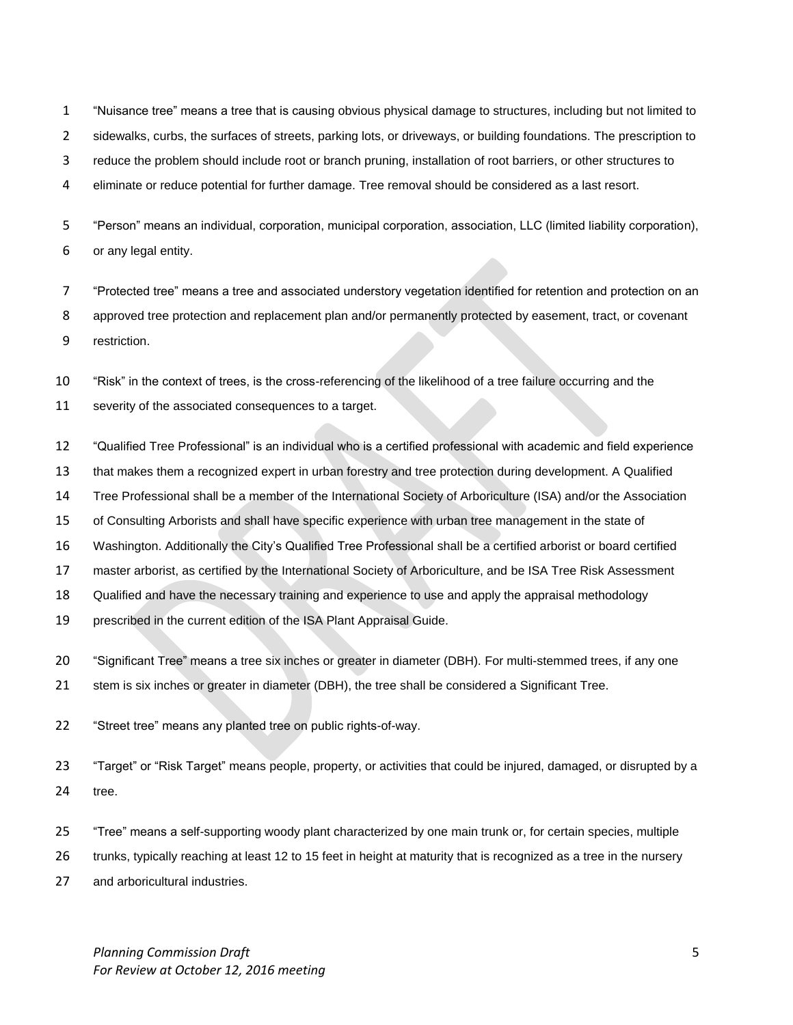"Nuisance tree" means a tree that is causing obvious physical damage to structures, including but not limited to

- sidewalks, curbs, the surfaces of streets, parking lots, or driveways, or building foundations. The prescription to
- reduce the problem should include root or branch pruning, installation of root barriers, or other structures to
- eliminate or reduce potential for further damage. Tree removal should be considered as a last resort.

 "Person" means an individual, corporation, municipal corporation, association, LLC (limited liability corporation), or any legal entity.

 "Protected tree" means a tree and associated understory vegetation identified for retention and protection on an approved tree protection and replacement plan and/or permanently protected by easement, tract, or covenant restriction.

"Risk" in the context of trees, is the cross-referencing of the likelihood of a tree failure occurring and the

severity of the associated consequences to a target.

- "Qualified Tree Professional" is an individual who is a certified professional with academic and field experience
- that makes them a recognized expert in urban forestry and tree protection during development. A Qualified
- Tree Professional shall be a member of the International Society of Arboriculture (ISA) and/or the Association
- of Consulting Arborists and shall have specific experience with urban tree management in the state of
- Washington. Additionally the City's Qualified Tree Professional shall be a certified arborist or board certified
- master arborist, as certified by the International Society of Arboriculture, and be ISA Tree Risk Assessment
- Qualified and have the necessary training and experience to use and apply the appraisal methodology
- prescribed in the current edition of the ISA Plant Appraisal Guide.
- "Significant Tree" means a tree six inches or greater in diameter (DBH). For multi-stemmed trees, if any one
- stem is six inches or greater in diameter (DBH), the tree shall be considered a Significant Tree.
- "Street tree" means any planted tree on public rights-of-way.
- "Target" or "Risk Target" means people, property, or activities that could be injured, damaged, or disrupted by a tree.
- "Tree" means a self-supporting woody plant characterized by one main trunk or, for certain species, multiple

trunks, typically reaching at least 12 to 15 feet in height at maturity that is recognized as a tree in the nursery

and arboricultural industries.

*Planning Commission Draft* 5 *For Review at October 12, 2016 meeting*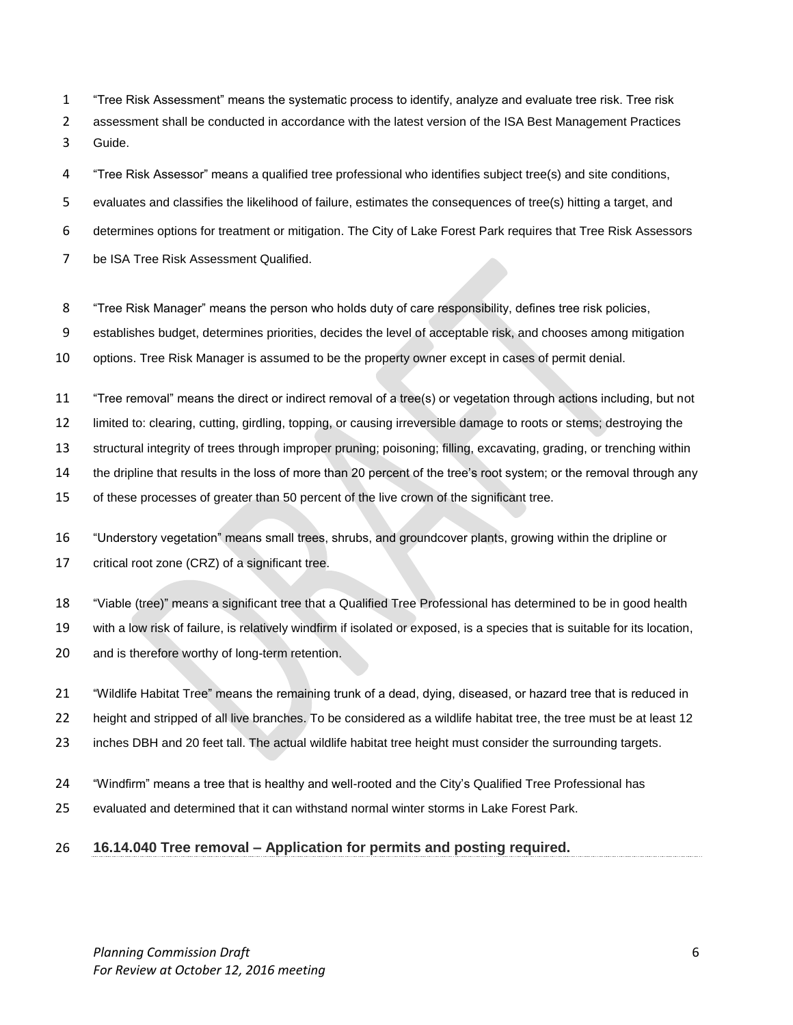"Tree Risk Assessment" means the systematic process to identify, analyze and evaluate tree risk. Tree risk assessment shall be conducted in accordance with the latest version of the ISA Best Management Practices Guide.

"Tree Risk Assessor" means a qualified tree professional who identifies subject tree(s) and site conditions,

evaluates and classifies the likelihood of failure, estimates the consequences of tree(s) hitting a target, and

determines options for treatment or mitigation. The City of Lake Forest Park requires that Tree Risk Assessors

- be ISA Tree Risk Assessment Qualified.
- "Tree Risk Manager" means the person who holds duty of care responsibility, defines tree risk policies,

establishes budget, determines priorities, decides the level of acceptable risk, and chooses among mitigation

options. Tree Risk Manager is assumed to be the property owner except in cases of permit denial.

"Tree removal" means the direct or indirect removal of a tree(s) or vegetation through actions including, but not

limited to: clearing, cutting, girdling, topping, or causing irreversible damage to roots or stems; destroying the

structural integrity of trees through improper pruning; poisoning; filling, excavating, grading, or trenching within

the dripline that results in the loss of more than 20 percent of the tree's root system; or the removal through any

of these processes of greater than 50 percent of the live crown of the significant tree.

 "Understory vegetation" means small trees, shrubs, and groundcover plants, growing within the dripline or critical root zone (CRZ) of a significant tree.

"Viable (tree)" means a significant tree that a Qualified Tree Professional has determined to be in good health

with a low risk of failure, is relatively windfirm if isolated or exposed, is a species that is suitable for its location,

and is therefore worthy of long-term retention.

"Wildlife Habitat Tree" means the remaining trunk of a dead, dying, diseased, or hazard tree that is reduced in

height and stripped of all live branches. To be considered as a wildlife habitat tree, the tree must be at least 12

inches DBH and 20 feet tall. The actual wildlife habitat tree height must consider the surrounding targets.

- "Windfirm" means a tree that is healthy and well-rooted and the City's Qualified Tree Professional has
- evaluated and determined that it can withstand normal winter storms in Lake Forest Park.

#### **16.14.040 Tree removal – Application for permits and posting required.**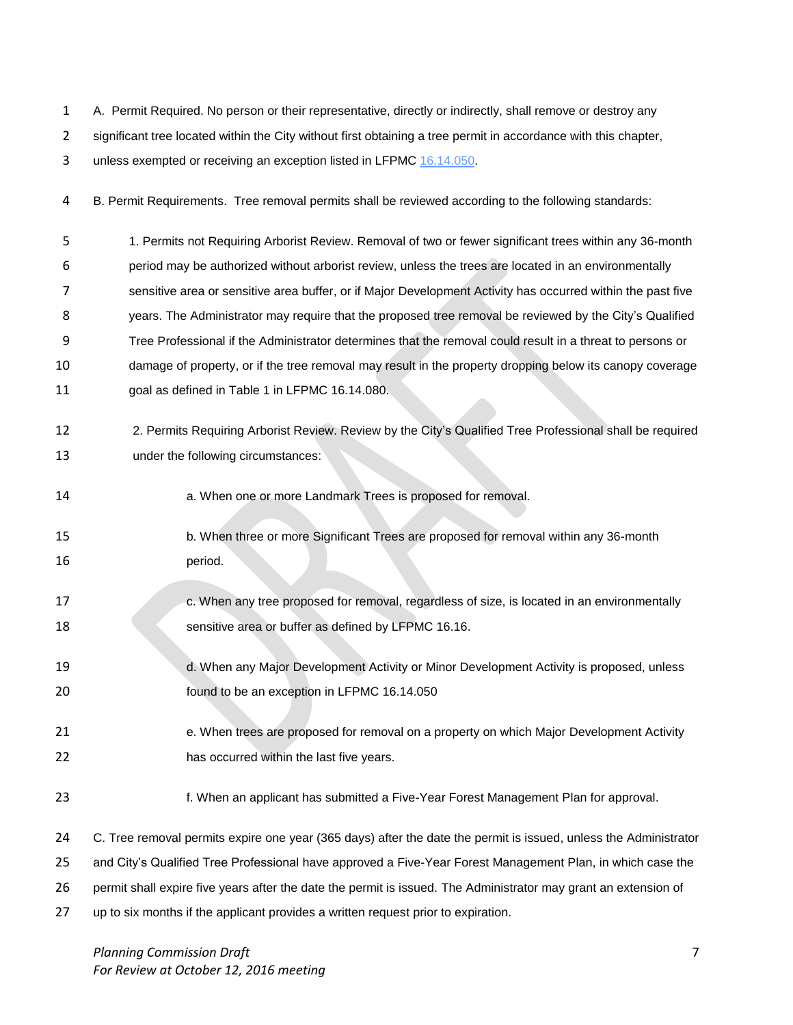A. Permit Required. No person or their representative, directly or indirectly, shall remove or destroy any 2 significant tree located within the City without first obtaining a tree permit in accordance with this chapter, 3 unless exempted or receiving an exception listed in LFPMC [16.14.050.](http://www.codepublishing.com/WA/LakeForestPark/html/LakeForestPark16/LakeForestPark1614.html#16.14.050)

B. Permit Requirements. Tree removal permits shall be reviewed according to the following standards:

 1. Permits not Requiring Arborist Review. Removal of two or fewer significant trees within any 36-month period may be authorized without arborist review, unless the trees are located in an environmentally sensitive area or sensitive area buffer, or if Major Development Activity has occurred within the past five years. The Administrator may require that the proposed tree removal be reviewed by the City's Qualified Tree Professional if the Administrator determines that the removal could result in a threat to persons or damage of property, or if the tree removal may result in the property dropping below its canopy coverage goal as defined in Table 1 in LFPMC 16.14.080.

- 2. Permits Requiring Arborist Review. Review by the City's Qualified Tree Professional shall be required under the following circumstances:
- **a.** When one or more Landmark Trees is proposed for removal.
- b. When three or more Significant Trees are proposed for removal within any 36-month 16 period.
- c. When any tree proposed for removal, regardless of size, is located in an environmentally sensitive area or buffer as defined by LFPMC 16.16.
- 19 d. When any Major Development Activity or Minor Development Activity is proposed, unless found to be an exception in LFPMC 16.14.050
- 21 e. When trees are proposed for removal on a property on which Major Development Activity has occurred within the last five years.
- f. When an applicant has submitted a Five-Year Forest Management Plan for approval.
- C. Tree removal permits expire one year (365 days) after the date the permit is issued, unless the Administrator
- and City's Qualified Tree Professional have approved a Five-Year Forest Management Plan, in which case the
- permit shall expire five years after the date the permit is issued. The Administrator may grant an extension of
- up to six months if the applicant provides a written request prior to expiration.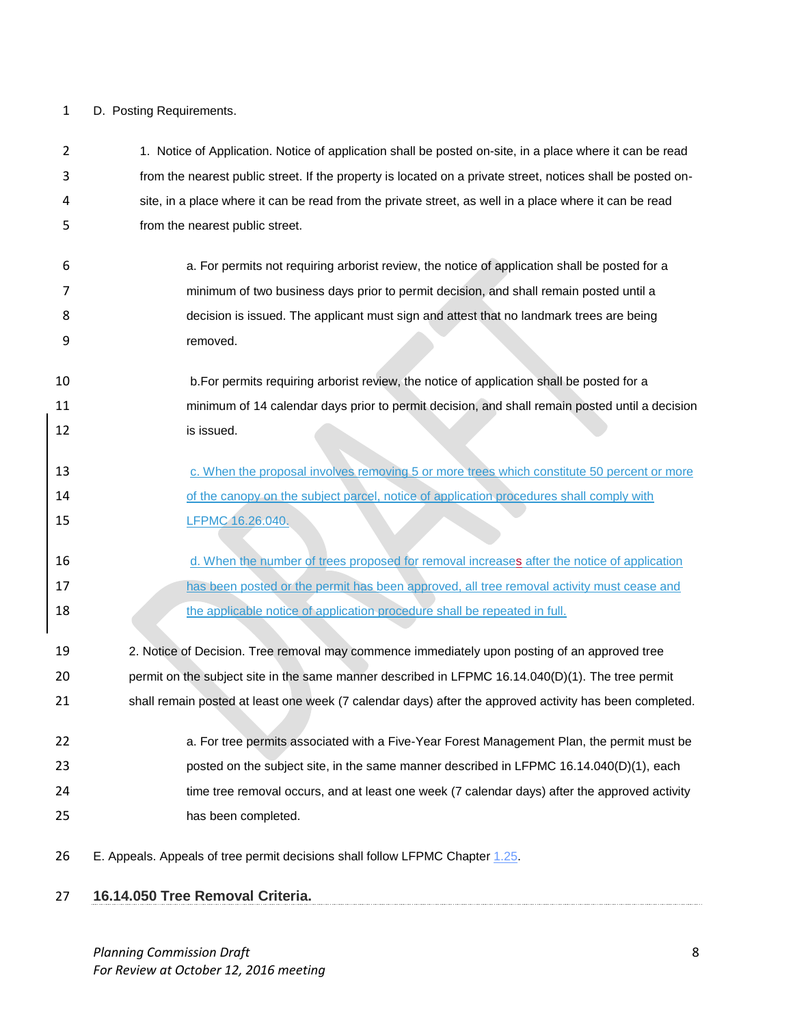# D. Posting Requirements.

| 2  | 1. Notice of Application. Notice of application shall be posted on-site, in a place where it can be read    |
|----|-------------------------------------------------------------------------------------------------------------|
| 3  | from the nearest public street. If the property is located on a private street, notices shall be posted on- |
| 4  | site, in a place where it can be read from the private street, as well in a place where it can be read      |
| 5  | from the nearest public street.                                                                             |
| 6  | a. For permits not requiring arborist review, the notice of application shall be posted for a               |
| 7  | minimum of two business days prior to permit decision, and shall remain posted until a                      |
| 8  | decision is issued. The applicant must sign and attest that no landmark trees are being                     |
| 9  | removed.                                                                                                    |
|    |                                                                                                             |
| 10 | b. For permits requiring arborist review, the notice of application shall be posted for a                   |
| 11 | minimum of 14 calendar days prior to permit decision, and shall remain posted until a decision              |
| 12 | is issued.                                                                                                  |
|    |                                                                                                             |
| 13 | c. When the proposal involves removing 5 or more trees which constitute 50 percent or more                  |
| 14 | of the canopy on the subject parcel, notice of application procedures shall comply with                     |
| 15 | LFPMC 16.26.040.                                                                                            |
| 16 | d. When the number of trees proposed for removal increases after the notice of application                  |
| 17 | has been posted or the permit has been approved, all tree removal activity must cease and                   |
| 18 | the applicable notice of application procedure shall be repeated in full.                                   |
|    |                                                                                                             |
| 19 | 2. Notice of Decision. Tree removal may commence immediately upon posting of an approved tree               |
| 20 | permit on the subject site in the same manner described in LFPMC 16.14.040(D)(1). The tree permit           |
| 21 | shall remain posted at least one week (7 calendar days) after the approved activity has been completed.     |
| 22 | a. For tree permits associated with a Five-Year Forest Management Plan, the permit must be                  |
| 23 | posted on the subject site, in the same manner described in LFPMC 16.14.040(D)(1), each                     |
| 24 | time tree removal occurs, and at least one week (7 calendar days) after the approved activity               |
| 25 | has been completed.                                                                                         |
|    |                                                                                                             |
| 26 | E. Appeals. Appeals of tree permit decisions shall follow LFPMC Chapter 1.25.                               |
|    |                                                                                                             |

**16.14.050 Tree Removal Criteria.**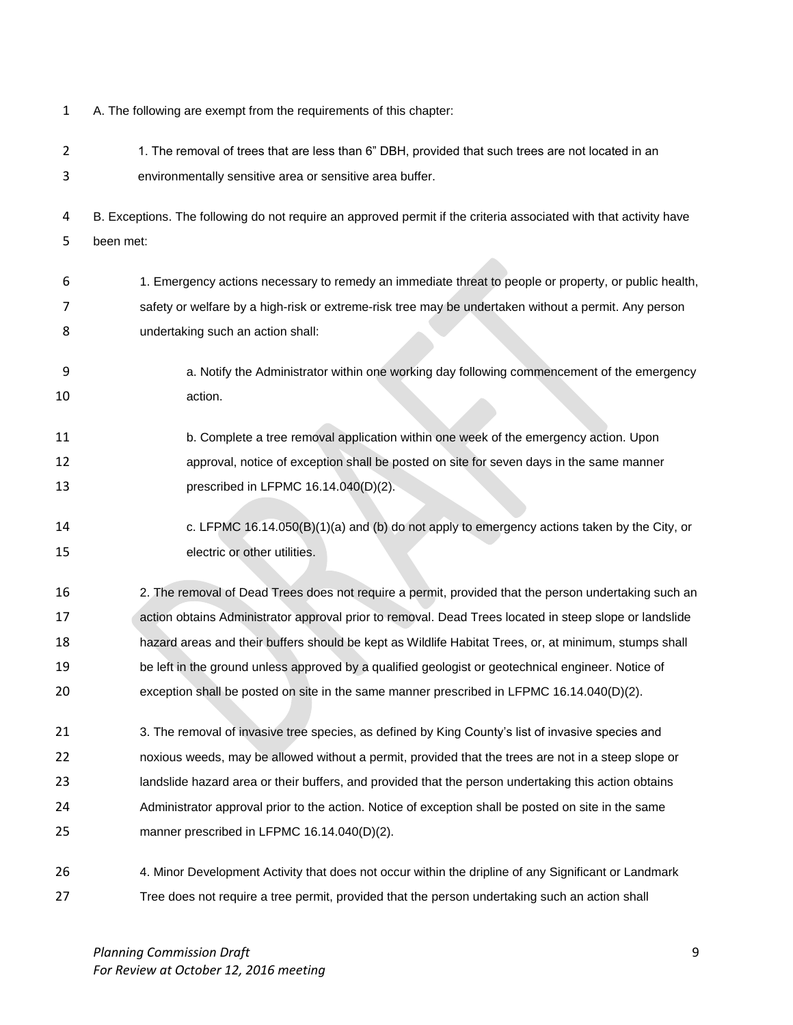| 1  | A. The following are exempt from the requirements of this chapter:                                                |
|----|-------------------------------------------------------------------------------------------------------------------|
| 2  | 1. The removal of trees that are less than 6" DBH, provided that such trees are not located in an                 |
| 3  | environmentally sensitive area or sensitive area buffer.                                                          |
| 4  | B. Exceptions. The following do not require an approved permit if the criteria associated with that activity have |
| 5  | been met:                                                                                                         |
|    |                                                                                                                   |
| 6  | 1. Emergency actions necessary to remedy an immediate threat to people or property, or public health,             |
| 7  | safety or welfare by a high-risk or extreme-risk tree may be undertaken without a permit. Any person              |
| 8  | undertaking such an action shall:                                                                                 |
| 9  | a. Notify the Administrator within one working day following commencement of the emergency                        |
| 10 | action.                                                                                                           |
| 11 | b. Complete a tree removal application within one week of the emergency action. Upon                              |
| 12 | approval, notice of exception shall be posted on site for seven days in the same manner                           |
| 13 | prescribed in LFPMC 16.14.040(D)(2).                                                                              |
|    |                                                                                                                   |
| 14 | c. LFPMC 16.14.050(B)(1)(a) and (b) do not apply to emergency actions taken by the City, or                       |
| 15 | electric or other utilities.                                                                                      |
| 16 | 2. The removal of Dead Trees does not require a permit, provided that the person undertaking such an              |
| 17 | action obtains Administrator approval prior to removal. Dead Trees located in steep slope or landslide            |
| 18 | hazard areas and their buffers should be kept as Wildlife Habitat Trees, or, at minimum, stumps shall             |
| 19 | be left in the ground unless approved by a qualified geologist or geotechnical engineer. Notice of                |
| 20 | exception shall be posted on site in the same manner prescribed in LFPMC 16.14.040(D)(2).                         |
| 21 | 3. The removal of invasive tree species, as defined by King County's list of invasive species and                 |
| 22 | noxious weeds, may be allowed without a permit, provided that the trees are not in a steep slope or               |
| 23 | landslide hazard area or their buffers, and provided that the person undertaking this action obtains              |
| 24 | Administrator approval prior to the action. Notice of exception shall be posted on site in the same               |
| 25 | manner prescribed in LFPMC 16.14.040(D)(2).                                                                       |
| 26 | 4. Minor Development Activity that does not occur within the dripline of any Significant or Landmark              |
| 27 |                                                                                                                   |
|    | Tree does not require a tree permit, provided that the person undertaking such an action shall                    |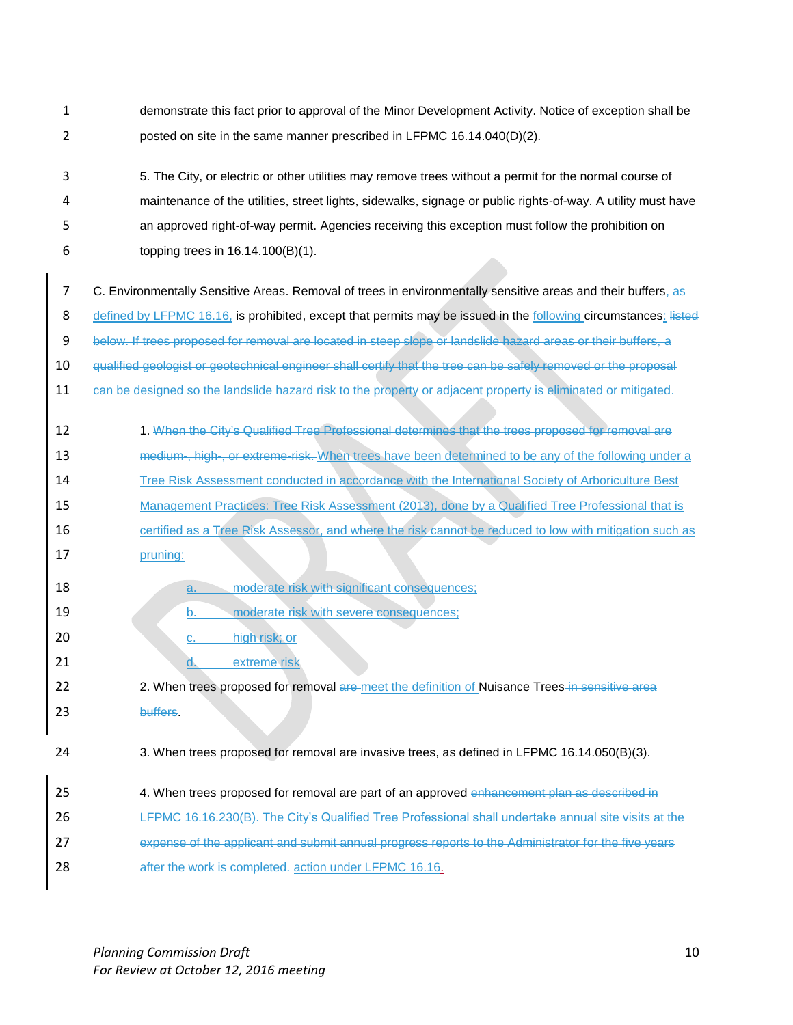- 1 demonstrate this fact prior to approval of the Minor Development Activity. Notice of exception shall be 2 posted on site in the same manner prescribed in LFPMC 16.14.040(D)(2).
- 3 5. The City, or electric or other utilities may remove trees without a permit for the normal course of 4 maintenance of the utilities, street lights, sidewalks, signage or public rights-of-way. A utility must have 5 an approved right-of-way permit. Agencies receiving this exception must follow the prohibition on 6 topping trees in 16.14.100(B)(1).
- 7 C. Environmentally Sensitive Areas. Removal of trees in environmentally sensitive areas and their buffers, as 8 defined by LFPMC 16.16, is prohibited, except that permits may be issued in the following circumstances: listed 9 below. If trees proposed for removal are located in steep slope or landslide hazard areas or their buffers, a 10 qualified geologist or geotechnical engineer shall certify that the tree can be safely removed or the proposal 11 can be designed so the landslide hazard risk to the property or adjacent property is eliminated or mitigated.
- 1. When the City's Qualified Tree Professional determines that the trees proposed for removal are 13 medium-, high-, or extreme-risk. When trees have been determined to be any of the following under a 14 Tree Risk Assessment conducted in accordance with the International Society of Arboriculture Best 15 Management Practices: Tree Risk Assessment (2013), done by a Qualified Tree Professional that is 16 **16** certified as a Tree Risk Assessor, and where the risk cannot be reduced to low with mitigation such as 17 pruning:
- 18 **a.** moderate risk with significant consequences; 19 b. moderate risk with severe consequences; 20 **c.** high risk; or 21 d. extreme risk 22 2. When trees proposed for removal are meet the definition of Nuisance Trees in sensitive area 23 buffers. 24 3. When trees proposed for removal are invasive trees, as defined in LFPMC 16.14.050(B)(3). 25 4. When trees proposed for removal are part of an approved enhancement plan as described in 26 LFPMC 16.16.230(B). The City's Qualified Tree Professional shall undertake annual site visits at the 27 expense of the applicant and submit annual progress reports to the Administrator for the five years

28 after the work is completed. action under LFPMC 16.16.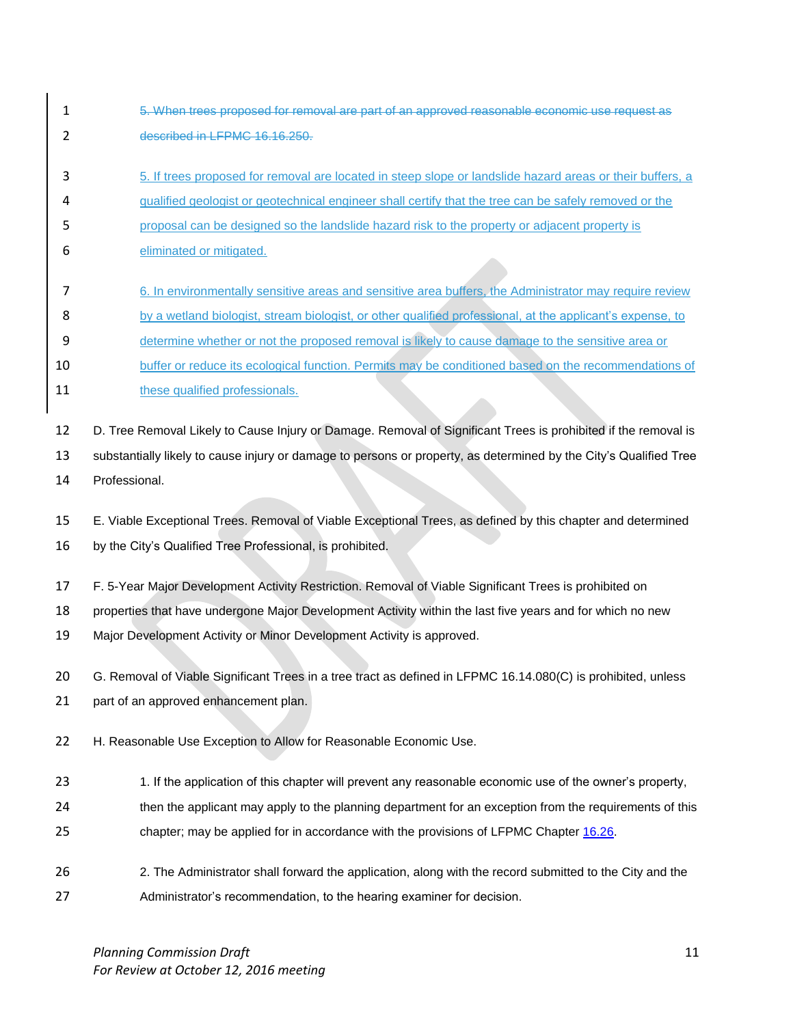- 1 5. When trees proposed for removal are part of an approved reasonable economic use request as 2 described in LFPMC 16.16.250.
- 3 5. If trees proposed for removal are located in steep slope or landslide hazard areas or their buffers, a
- 4 qualified geologist or geotechnical engineer shall certify that the tree can be safely removed or the
- 5 proposal can be designed so the landslide hazard risk to the property or adjacent property is
- 6 eliminated or mitigated.
- 7 6. In environmentally sensitive areas and sensitive area buffers, the Administrator may require review
- 8 by a wetland biologist, stream biologist, or other qualified professional, at the applicant's expense, to
- 9 determine whether or not the proposed removal is likely to cause damage to the sensitive area or
- 10 buffer or reduce its ecological function. Permits may be conditioned based on the recommendations of 11 these qualified professionals.

12 D. Tree Removal Likely to Cause Injury or Damage. Removal of Significant Trees is prohibited if the removal is

13 substantially likely to cause injury or damage to persons or property, as determined by the City's Qualified Tree 14 Professional.

15 E. Viable Exceptional Trees. Removal of Viable Exceptional Trees, as defined by this chapter and determined

- 16 by the City's Qualified Tree Professional, is prohibited.
- 17 F. 5-Year Major Development Activity Restriction. Removal of Viable Significant Trees is prohibited on

18 properties that have undergone Major Development Activity within the last five years and for which no new

19 Major Development Activity or Minor Development Activity is approved.

20 G. Removal of Viable Significant Trees in a tree tract as defined in LFPMC 16.14.080(C) is prohibited, unless

21 part of an approved enhancement plan.

- 22 H. Reasonable Use Exception to Allow for Reasonable Economic Use.
- 23 1. If the application of this chapter will prevent any reasonable economic use of the owner's property,
- 24 then the applicant may apply to the planning department for an exception from the requirements of this 25 chapter; may be applied for in accordance with the provisions of LFPMC Chapter [16.26.](http://www.codepublishing.com/WA/LakeForestPark/html/LakeForestPark16/LakeForestPark1626.html#16.26)
- 26 2. The Administrator shall forward the application, along with the record submitted to the City and the 27 Administrator's recommendation, to the hearing examiner for decision.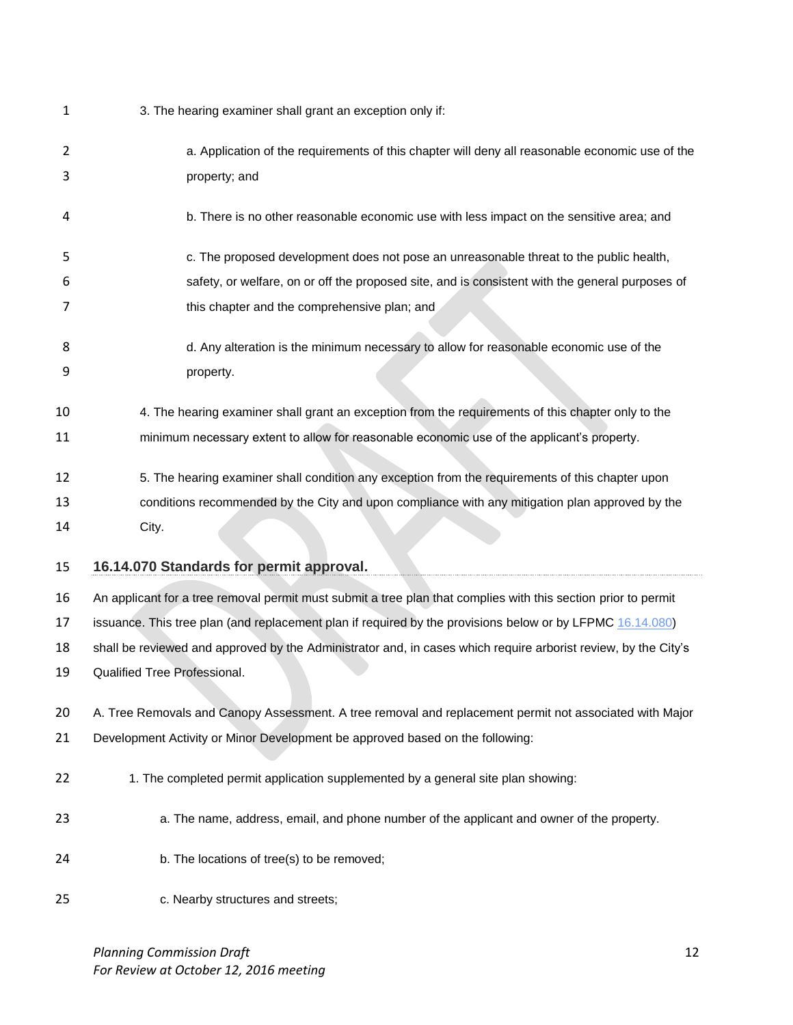| 1  | 3. The hearing examiner shall grant an exception only if:                                                      |
|----|----------------------------------------------------------------------------------------------------------------|
| 2  | a. Application of the requirements of this chapter will deny all reasonable economic use of the                |
| 3  | property; and                                                                                                  |
| 4  | b. There is no other reasonable economic use with less impact on the sensitive area; and                       |
| 5  | c. The proposed development does not pose an unreasonable threat to the public health,                         |
| 6  | safety, or welfare, on or off the proposed site, and is consistent with the general purposes of                |
| 7  | this chapter and the comprehensive plan; and                                                                   |
| 8  | d. Any alteration is the minimum necessary to allow for reasonable economic use of the                         |
| 9  | property.                                                                                                      |
| 10 | 4. The hearing examiner shall grant an exception from the requirements of this chapter only to the             |
| 11 | minimum necessary extent to allow for reasonable economic use of the applicant's property.                     |
| 12 | 5. The hearing examiner shall condition any exception from the requirements of this chapter upon               |
| 13 | conditions recommended by the City and upon compliance with any mitigation plan approved by the                |
|    |                                                                                                                |
| 14 | City.                                                                                                          |
| 15 | 16.14.070 Standards for permit approval.                                                                       |
| 16 | An applicant for a tree removal permit must submit a tree plan that complies with this section prior to permit |
| 17 | issuance. This tree plan (and replacement plan if required by the provisions below or by LFPMC 16.14.080)      |
| 18 | shall be reviewed and approved by the Administrator and, in cases which require arborist review, by the City's |
| 19 | Qualified Tree Professional.                                                                                   |
| 20 | A. Tree Removals and Canopy Assessment. A tree removal and replacement permit not associated with Major        |
| 21 | Development Activity or Minor Development be approved based on the following:                                  |
| 22 | 1. The completed permit application supplemented by a general site plan showing:                               |
| 23 | a. The name, address, email, and phone number of the applicant and owner of the property.                      |
| 24 | b. The locations of tree(s) to be removed;                                                                     |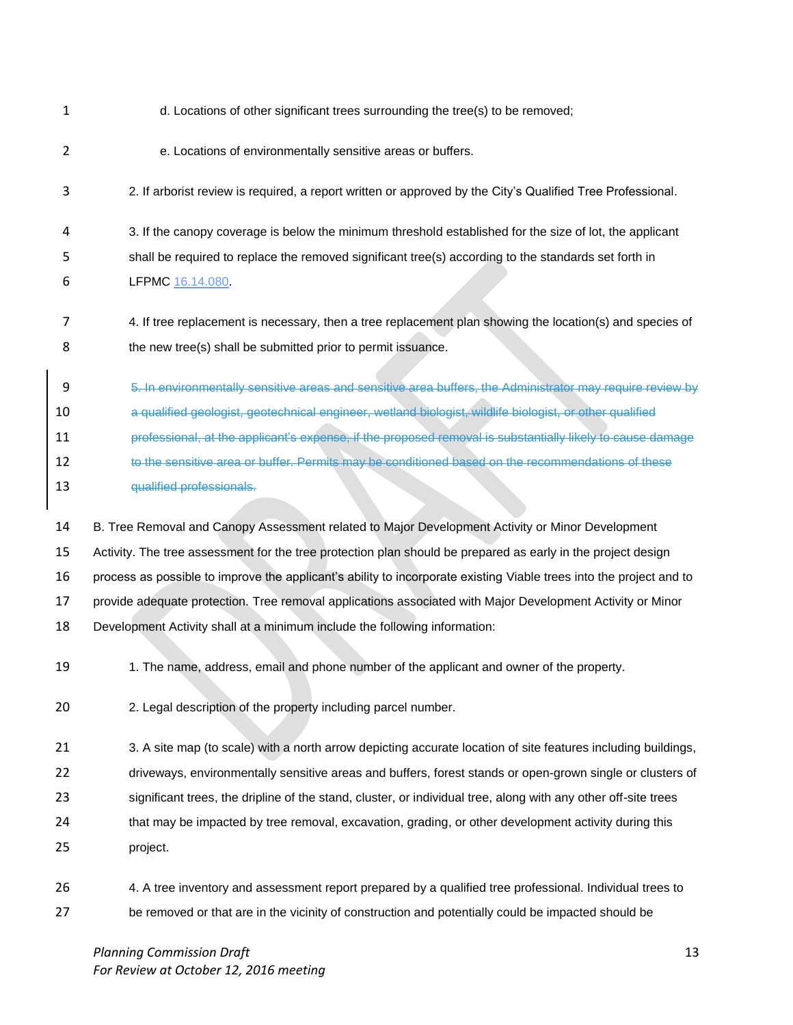| 1              | d. Locations of other significant trees surrounding the tree(s) to be removed;                                      |
|----------------|---------------------------------------------------------------------------------------------------------------------|
| $\overline{2}$ | e. Locations of environmentally sensitive areas or buffers.                                                         |
| 3              | 2. If arborist review is required, a report written or approved by the City's Qualified Tree Professional.          |
| 4              | 3. If the canopy coverage is below the minimum threshold established for the size of lot, the applicant             |
| 5              | shall be required to replace the removed significant tree(s) according to the standards set forth in                |
| 6              | LFPMC 16.14.080.                                                                                                    |
| 7              | 4. If tree replacement is necessary, then a tree replacement plan showing the location(s) and species of            |
| 8              | the new tree(s) shall be submitted prior to permit issuance.                                                        |
| 9              | 5. In environmentally sensitive areas and sensitive area buffers, the Administrator may require review by           |
| 10             | a qualified geologist, geotechnical engineer, wetland biologist, wildlife biologist, or other qualified             |
| 11             | professional, at the applicant's expense, if the proposed removal is substantially likely to cause damage           |
| 12             | to the sensitive area or buffer. Permits may be conditioned based on the recommendations of these                   |
| 13             | qualified professionals.                                                                                            |
| 14             | B. Tree Removal and Canopy Assessment related to Major Development Activity or Minor Development                    |
| 15             | Activity. The tree assessment for the tree protection plan should be prepared as early in the project design        |
| 16             | process as possible to improve the applicant's ability to incorporate existing Viable trees into the project and to |
| 17             | provide adequate protection. Tree removal applications associated with Major Development Activity or Minor          |
| 18             | Development Activity shall at a minimum include the following information:                                          |
| 19             | 1. The name, address, email and phone number of the applicant and owner of the property.                            |
| 20             | 2. Legal description of the property including parcel number.                                                       |
| 21             | 3. A site map (to scale) with a north arrow depicting accurate location of site features including buildings,       |
| 22             | driveways, environmentally sensitive areas and buffers, forest stands or open-grown single or clusters of           |
| 23             | significant trees, the dripline of the stand, cluster, or individual tree, along with any other off-site trees      |
| 24             | that may be impacted by tree removal, excavation, grading, or other development activity during this                |
| 25             | project.                                                                                                            |
| 26             | 4. A tree inventory and assessment report prepared by a qualified tree professional. Individual trees to            |
|                |                                                                                                                     |

*Planning Commission Draft* 13 *For Review at October 12, 2016 meeting*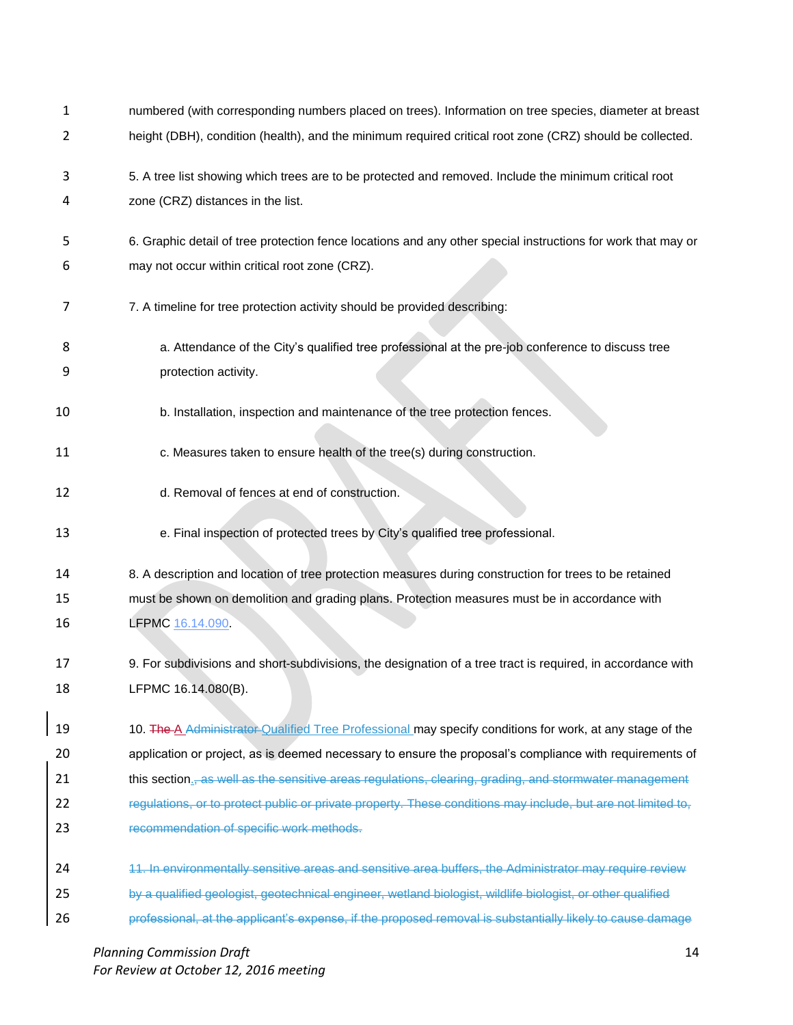| 1  | numbered (with corresponding numbers placed on trees). Information on tree species, diameter at breast             |
|----|--------------------------------------------------------------------------------------------------------------------|
| 2  | height (DBH), condition (health), and the minimum required critical root zone (CRZ) should be collected.           |
| 3  | 5. A tree list showing which trees are to be protected and removed. Include the minimum critical root              |
| 4  | zone (CRZ) distances in the list.                                                                                  |
| 5  | 6. Graphic detail of tree protection fence locations and any other special instructions for work that may or       |
| 6  | may not occur within critical root zone (CRZ).                                                                     |
| 7  | 7. A timeline for tree protection activity should be provided describing:                                          |
| 8  | a. Attendance of the City's qualified tree professional at the pre-job conference to discuss tree                  |
| 9  | protection activity.                                                                                               |
| 10 | b. Installation, inspection and maintenance of the tree protection fences.                                         |
| 11 | c. Measures taken to ensure health of the tree(s) during construction.                                             |
| 12 | d. Removal of fences at end of construction.                                                                       |
| 13 | e. Final inspection of protected trees by City's qualified tree professional.                                      |
| 14 | 8. A description and location of tree protection measures during construction for trees to be retained             |
| 15 | must be shown on demolition and grading plans. Protection measures must be in accordance with                      |
| 16 | LFPMC 16.14.090.                                                                                                   |
|    |                                                                                                                    |
| 17 | 9. For subdivisions and short-subdivisions, the designation of a tree tract is required, in accordance with        |
| 18 | LFPMC 16.14.080(B).                                                                                                |
| 19 | 10. The A Administrater Qualified Tree Professional may specify conditions for work, at any stage of the           |
| 20 | application or project, as is deemed necessary to ensure the proposal's compliance with requirements of            |
| 21 | this section <sub>,</sub> as well as the sensitive areas regulations, clearing, grading, and stormwater management |
| 22 | regulations, or to protect public or private property. These conditions may include, but are not limited to,       |
| 23 | recommendation of specific work methods.                                                                           |
| 24 | 11. In environmentally sensitive areas and sensitive area buffers, the Administrator may require review            |
|    |                                                                                                                    |
| 25 | by a qualified geologist, geotechnical engineer, wetland biologist, wildlife biologist, or other qualified         |

*Planning Commission Draft* 14 *For Review at October 12, 2016 meeting*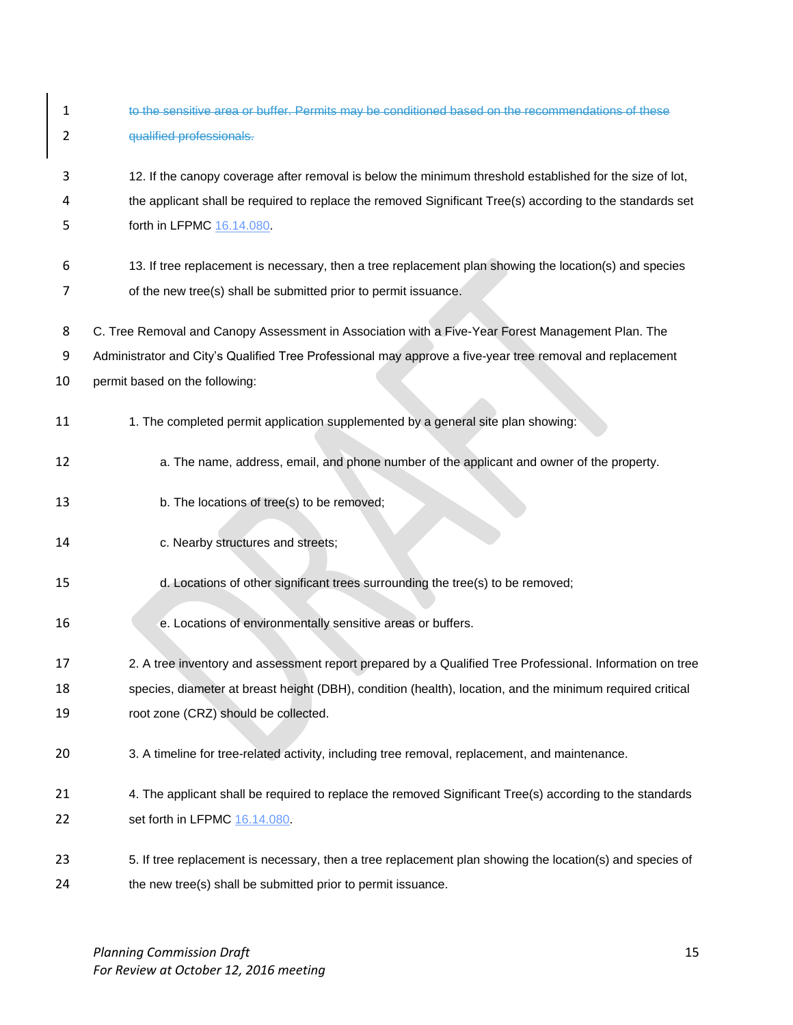| 1  | to the sensitive area or buffer. Permits may be conditioned based on the recommendations of these         |
|----|-----------------------------------------------------------------------------------------------------------|
| 2  | qualified professionals.                                                                                  |
| 3  | 12. If the canopy coverage after removal is below the minimum threshold established for the size of lot,  |
| 4  | the applicant shall be required to replace the removed Significant Tree(s) according to the standards set |
| 5  | forth in LFPMC 16.14.080.                                                                                 |
| 6  | 13. If tree replacement is necessary, then a tree replacement plan showing the location(s) and species    |
| 7  | of the new tree(s) shall be submitted prior to permit issuance.                                           |
| 8  | C. Tree Removal and Canopy Assessment in Association with a Five-Year Forest Management Plan. The         |
| 9  | Administrator and City's Qualified Tree Professional may approve a five-year tree removal and replacement |
| 10 | permit based on the following:                                                                            |
| 11 | 1. The completed permit application supplemented by a general site plan showing:                          |
| 12 | a. The name, address, email, and phone number of the applicant and owner of the property.                 |
| 13 | b. The locations of tree(s) to be removed;                                                                |
| 14 | c. Nearby structures and streets;                                                                         |
| 15 | d. Locations of other significant trees surrounding the tree(s) to be removed;                            |
| 16 | e. Locations of environmentally sensitive areas or buffers.                                               |
| 17 | 2. A tree inventory and assessment report prepared by a Qualified Tree Professional. Information on tree  |
| 18 | species, diameter at breast height (DBH), condition (health), location, and the minimum required critical |
| 19 | root zone (CRZ) should be collected.                                                                      |
| 20 | 3. A timeline for tree-related activity, including tree removal, replacement, and maintenance.            |
| 21 | 4. The applicant shall be required to replace the removed Significant Tree(s) according to the standards  |
| 22 | set forth in LFPMC 16.14.080.                                                                             |
| 23 | 5. If tree replacement is necessary, then a tree replacement plan showing the location(s) and species of  |
| 24 | the new tree(s) shall be submitted prior to permit issuance.                                              |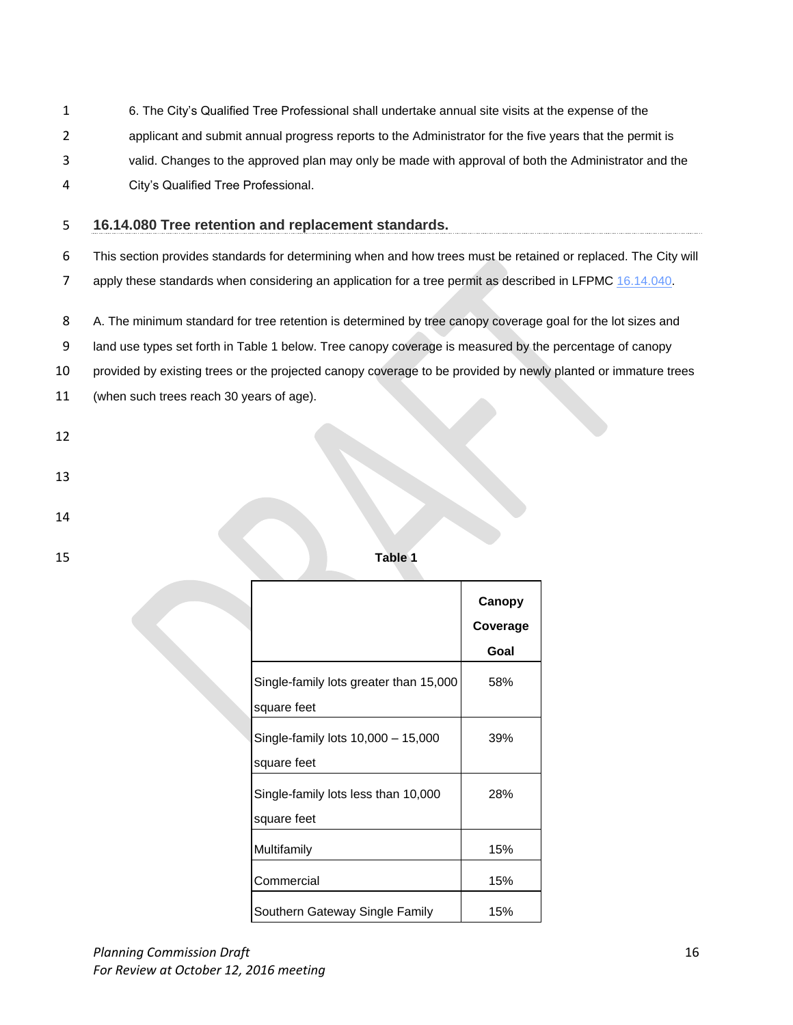- 1 6. The City's Qualified Tree Professional shall undertake annual site visits at the expense of the
- 2 applicant and submit annual progress reports to the Administrator for the five years that the permit is
- 3 valid. Changes to the approved plan may only be made with approval of both the Administrator and the
- 4 City's Qualified Tree Professional.

### 5 **16.14.080 Tree retention and replacement standards.**

6 This section provides standards for determining when and how trees must be retained or replaced. The City will

7 apply these standards when considering an application for a tree permit as described in LFPMC [16.14.040.](http://www.codepublishing.com/WA/LakeForestPark/html/LakeForestPark16/LakeForestPark1614.html#16.14.040)

8 A. The minimum standard for tree retention is determined by tree canopy coverage goal for the lot sizes and

9 land use types set forth in Table 1 below. Tree canopy coverage is measured by the percentage of canopy

10 provided by existing trees or the projected canopy coverage to be provided by newly planted or immature trees

11 (when such trees reach 30 years of age).

- 12
- 13
- 14
- 

15 **Table 1**

|                                                       | Canopy<br>Coverage<br>Goal |
|-------------------------------------------------------|----------------------------|
| Single-family lots greater than 15,000<br>square feet | 58%                        |
| Single-family lots 10,000 - 15,000<br>square feet     | 39%                        |
| Single-family lots less than 10,000<br>square feet    | 28%                        |
| Multifamily                                           | 15%                        |
| Commercial                                            | 15%                        |
| Southern Gateway Single Family                        | 15%                        |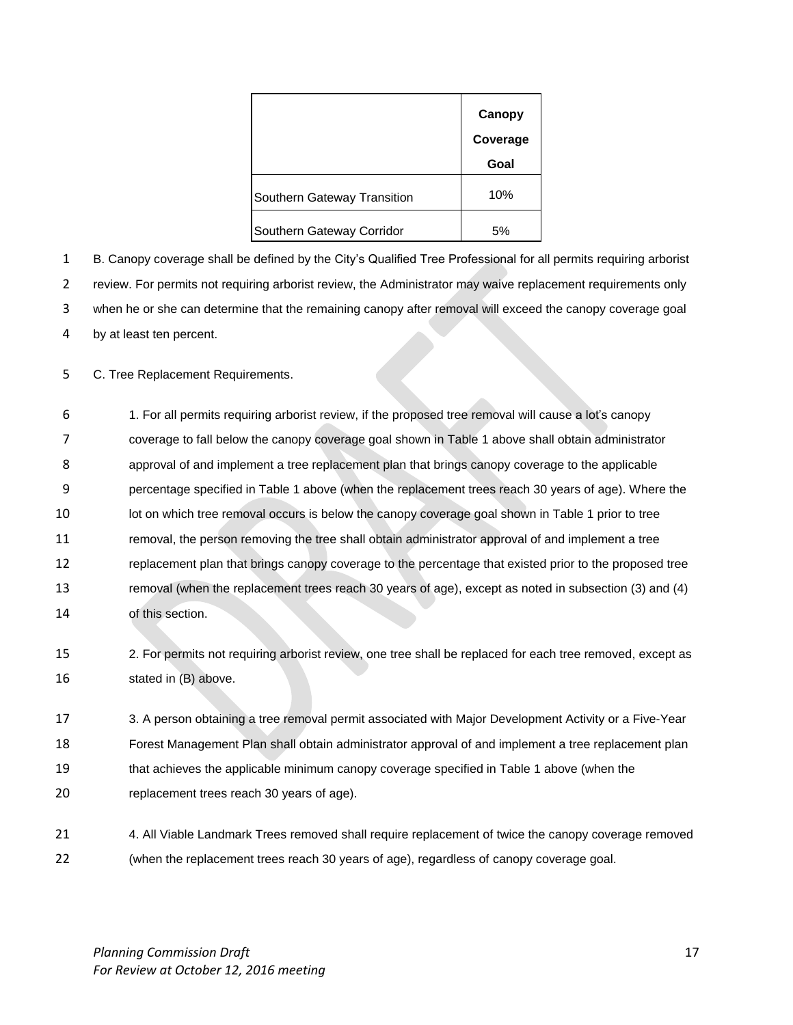|                             | Canopy<br>Coverage |
|-----------------------------|--------------------|
|                             | Goal               |
| Southern Gateway Transition | 10%                |
| Southern Gateway Corridor   | 5%                 |

 B. Canopy coverage shall be defined by the City's Qualified Tree Professional for all permits requiring arborist review. For permits not requiring arborist review, the Administrator may waive replacement requirements only when he or she can determine that the remaining canopy after removal will exceed the canopy coverage goal by at least ten percent.

C. Tree Replacement Requirements.

- 1. For all permits requiring arborist review, if the proposed tree removal will cause a lot's canopy coverage to fall below the canopy coverage goal shown in Table 1 above shall obtain administrator approval of and implement a tree replacement plan that brings canopy coverage to the applicable percentage specified in Table 1 above (when the replacement trees reach 30 years of age). Where the 10 lot on which tree removal occurs is below the canopy coverage goal shown in Table 1 prior to tree removal, the person removing the tree shall obtain administrator approval of and implement a tree replacement plan that brings canopy coverage to the percentage that existed prior to the proposed tree removal (when the replacement trees reach 30 years of age), except as noted in subsection (3) and (4) of this section.
- 2. For permits not requiring arborist review, one tree shall be replaced for each tree removed, except as stated in (B) above.
- 3. A person obtaining a tree removal permit associated with Major Development Activity or a Five-Year Forest Management Plan shall obtain administrator approval of and implement a tree replacement plan that achieves the applicable minimum canopy coverage specified in Table 1 above (when the replacement trees reach 30 years of age).
- 4. All Viable Landmark Trees removed shall require replacement of twice the canopy coverage removed (when the replacement trees reach 30 years of age), regardless of canopy coverage goal.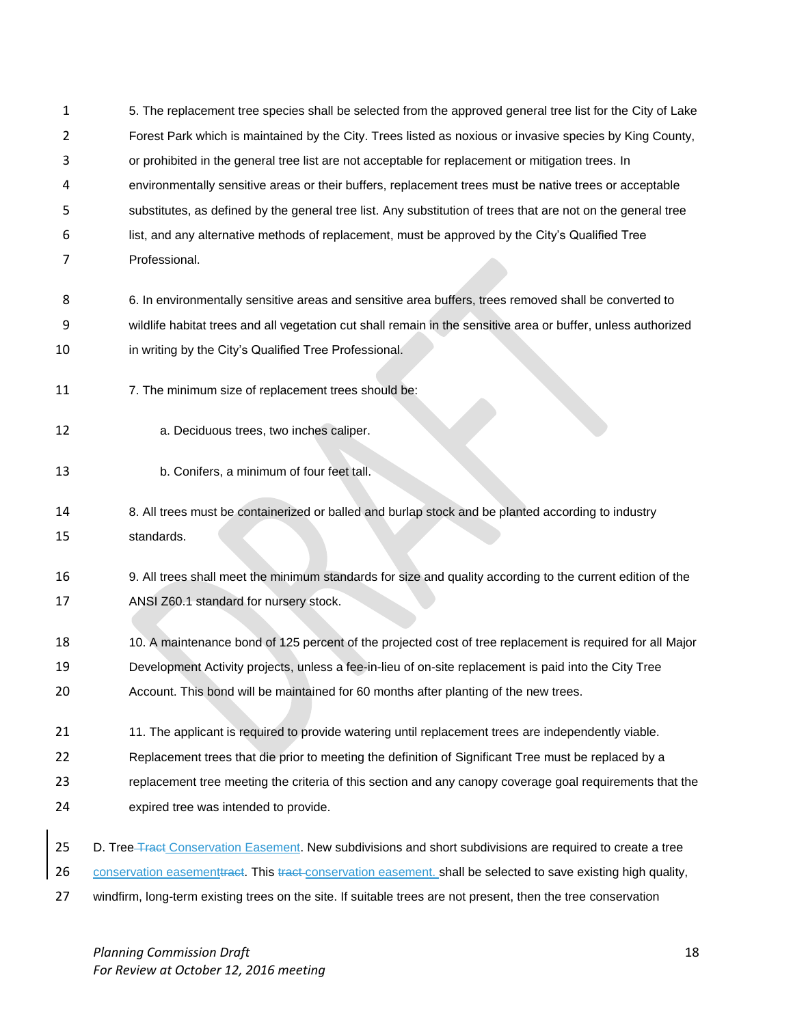- 5. The replacement tree species shall be selected from the approved general tree list for the City of Lake Forest Park which is maintained by the City. Trees listed as noxious or invasive species by King County, or prohibited in the general tree list are not acceptable for replacement or mitigation trees. In environmentally sensitive areas or their buffers, replacement trees must be native trees or acceptable substitutes, as defined by the general tree list. Any substitution of trees that are not on the general tree list, and any alternative methods of replacement, must be approved by the City's Qualified Tree Professional. 6. In environmentally sensitive areas and sensitive area buffers, trees removed shall be converted to wildlife habitat trees and all vegetation cut shall remain in the sensitive area or buffer, unless authorized **in writing by the City's Qualified Tree Professional.** 11 7. The minimum size of replacement trees should be: a. Deciduous trees, two inches caliper. b. Conifers, a minimum of four feet tall. 8. All trees must be containerized or balled and burlap stock and be planted according to industry standards. 9. All trees shall meet the minimum standards for size and quality according to the current edition of the ANSI Z60.1 standard for nursery stock. 10. A maintenance bond of 125 percent of the projected cost of tree replacement is required for all Major Development Activity projects, unless a fee-in-lieu of on-site replacement is paid into the City Tree Account. This bond will be maintained for 60 months after planting of the new trees. 21 11. The applicant is required to provide watering until replacement trees are independently viable. Replacement trees that die prior to meeting the definition of Significant Tree must be replaced by a replacement tree meeting the criteria of this section and any canopy coverage goal requirements that the expired tree was intended to provide. 25 D. Tree Tract Conservation Easement. New subdivisions and short subdivisions are required to create a tree
- 26 conservation easement tract. This tract-conservation easement. shall be selected to save existing high quality,
- 27 windfirm, long-term existing trees on the site. If suitable trees are not present, then the tree conservation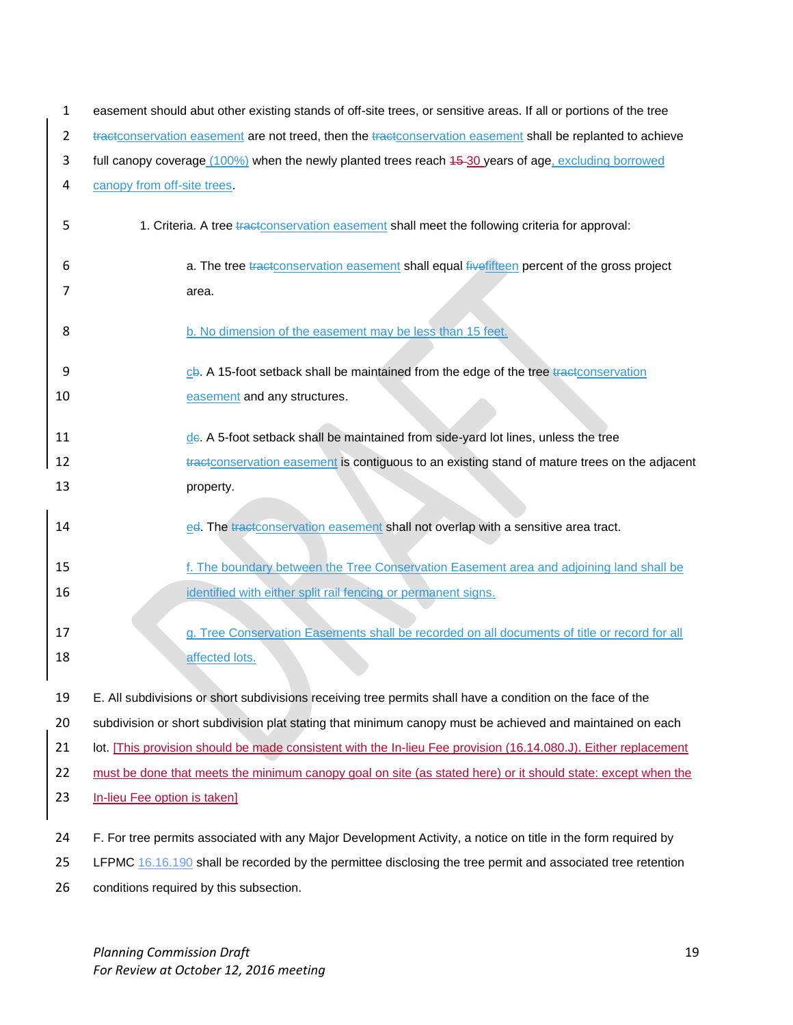| $\mathbf{1}$   | easement should abut other existing stands of off-site trees, or sensitive areas. If all or portions of the tree                                                                    |  |  |
|----------------|-------------------------------------------------------------------------------------------------------------------------------------------------------------------------------------|--|--|
| $\overline{2}$ | tractconservation easement are not treed, then the tractconservation easement shall be replanted to achieve                                                                         |  |  |
| 3              | full canopy coverage (100%) when the newly planted trees reach 45-30 years of age, excluding borrowed                                                                               |  |  |
| 4              | canopy from off-site trees.                                                                                                                                                         |  |  |
| 5              | 1. Criteria. A tree tractconservation easement shall meet the following criteria for approval:                                                                                      |  |  |
| 6              | a. The tree tractconservation easement shall equal fivefifteen percent of the gross project                                                                                         |  |  |
| 7              | area.                                                                                                                                                                               |  |  |
| 8              | b. No dimension of the easement may be less than 15 feet.                                                                                                                           |  |  |
| 9              | cb. A 15-foot setback shall be maintained from the edge of the tree tractconservation                                                                                               |  |  |
| 10             | easement and any structures.                                                                                                                                                        |  |  |
| 11<br>12       | de. A 5-foot setback shall be maintained from side-yard lot lines, unless the tree<br>tractconservation easement is contiguous to an existing stand of mature trees on the adjacent |  |  |
| 13             | property.                                                                                                                                                                           |  |  |
| 14             | ed. The tractconservation easement shall not overlap with a sensitive area tract.                                                                                                   |  |  |
| 15             | f. The boundary between the Tree Conservation Easement area and adjoining land shall be                                                                                             |  |  |
| 16             | identified with either split rail fencing or permanent signs.                                                                                                                       |  |  |
| 17<br>18       | g. Tree Conservation Easements shall be recorded on all documents of title or record for all<br>affected lots.                                                                      |  |  |
| 19             | E. All subdivisions or short subdivisions receiving tree permits shall have a condition on the face of the                                                                          |  |  |
| 20             | subdivision or short subdivision plat stating that minimum canopy must be achieved and maintained on each                                                                           |  |  |
| 21             | lot. [This provision should be made consistent with the In-lieu Fee provision (16.14.080.J). Either replacement                                                                     |  |  |
| 22             | must be done that meets the minimum canopy goal on site (as stated here) or it should state: except when the                                                                        |  |  |
| 23             | In-lieu Fee option is taken]                                                                                                                                                        |  |  |
| 24             | F. For tree permits associated with any Major Development Activity, a notice on title in the form required by                                                                       |  |  |
| 25             | LFPMC 16.16.190 shall be recorded by the permittee disclosing the tree permit and associated tree retention                                                                         |  |  |
| 26             | conditions required by this subsection.                                                                                                                                             |  |  |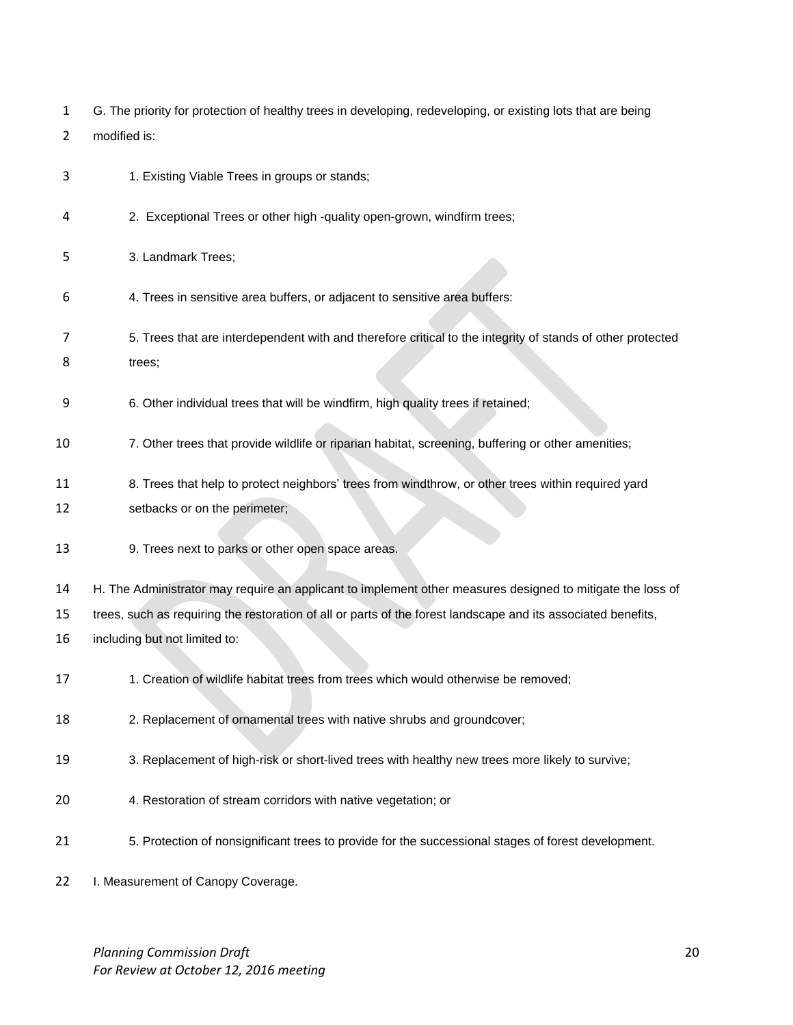|  | G. The priority for protection of healthy trees in developing, redeveloping, or existing lots that are being |  |  |  |
|--|--------------------------------------------------------------------------------------------------------------|--|--|--|
|--|--------------------------------------------------------------------------------------------------------------|--|--|--|

- modified is:
- 1. Existing Viable Trees in groups or stands;
- 2. Exceptional Trees or other high -quality open-grown, windfirm trees;
- 3. Landmark Trees;
- 4. Trees in sensitive area buffers, or adjacent to sensitive area buffers:
- 5. Trees that are interdependent with and therefore critical to the integrity of stands of other protected 8 trees;
- 6. Other individual trees that will be windfirm, high quality trees if retained;
- 7. Other trees that provide wildlife or riparian habitat, screening, buffering or other amenities;
- 8. Trees that help to protect neighbors' trees from windthrow, or other trees within required yard
- setbacks or on the perimeter;
- 9. Trees next to parks or other open space areas.
- H. The Administrator may require an applicant to implement other measures designed to mitigate the loss of
- trees, such as requiring the restoration of all or parts of the forest landscape and its associated benefits,
- including but not limited to:
- 1. Creation of wildlife habitat trees from trees which would otherwise be removed;
- 2. Replacement of ornamental trees with native shrubs and groundcover;
- 3. Replacement of high-risk or short-lived trees with healthy new trees more likely to survive;
- 4. Restoration of stream corridors with native vegetation; or
- 5. Protection of nonsignificant trees to provide for the successional stages of forest development.
- 22 I. Measurement of Canopy Coverage.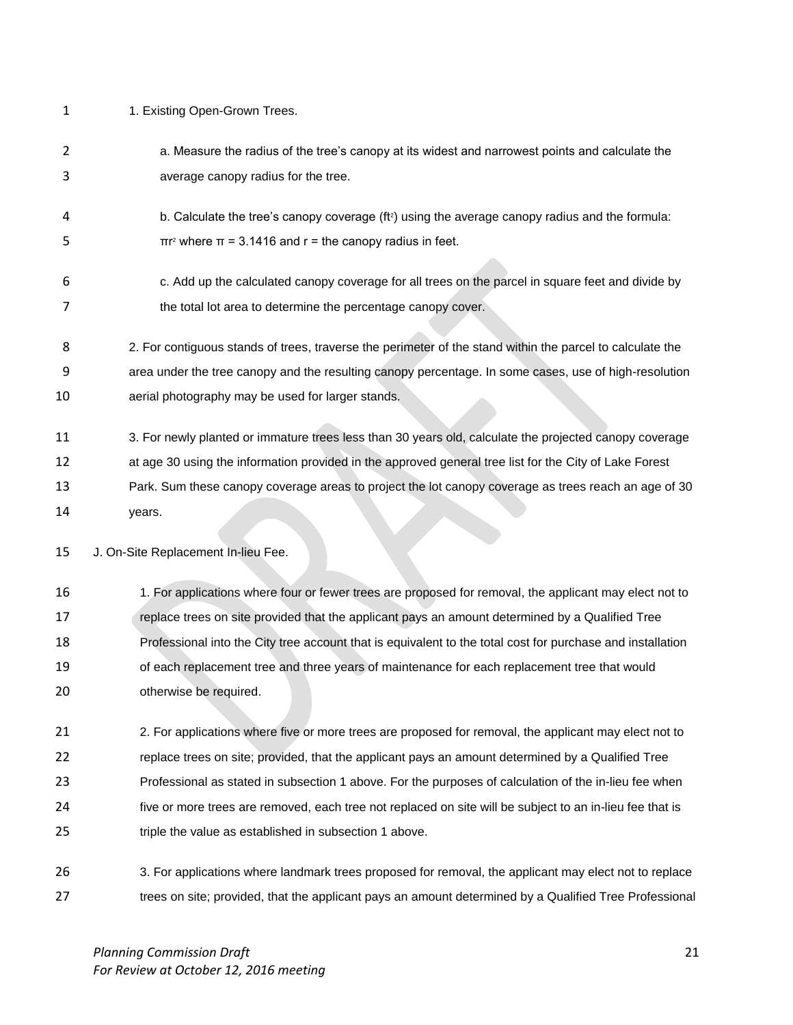- 1 1. Existing Open-Grown Trees.
- a. Measure the radius of the tree's canopy at its widest and narrowest points and calculate the average canopy radius for the tree.
- 4 b. Calculate the tree's canopy coverage  $(ft^2)$  using the average canopy radius and the formula:  $πr²$  where  $π = 3.1416$  and  $r =$  the canopy radius in feet.
- c. Add up the calculated canopy coverage for all trees on the parcel in square feet and divide by 7 the total lot area to determine the percentage canopy cover.
- 2. For contiguous stands of trees, traverse the perimeter of the stand within the parcel to calculate the area under the tree canopy and the resulting canopy percentage. In some cases, use of high-resolution aerial photography may be used for larger stands.
- 3. For newly planted or immature trees less than 30 years old, calculate the projected canopy coverage
- at age 30 using the information provided in the approved general tree list for the City of Lake Forest Park. Sum these canopy coverage areas to project the lot canopy coverage as trees reach an age of 30
- years.

J. On-Site Replacement In-lieu Fee.

 1. For applications where four or fewer trees are proposed for removal, the applicant may elect not to replace trees on site provided that the applicant pays an amount determined by a Qualified Tree Professional into the City tree account that is equivalent to the total cost for purchase and installation of each replacement tree and three years of maintenance for each replacement tree that would otherwise be required.

21 21 2. For applications where five or more trees are proposed for removal, the applicant may elect not to replace trees on site; provided, that the applicant pays an amount determined by a Qualified Tree Professional as stated in subsection 1 above. For the purposes of calculation of the in-lieu fee when five or more trees are removed, each tree not replaced on site will be subject to an in-lieu fee that is triple the value as established in subsection 1 above.

 3. For applications where landmark trees proposed for removal, the applicant may elect not to replace 27 trees on site; provided, that the applicant pays an amount determined by a Qualified Tree Professional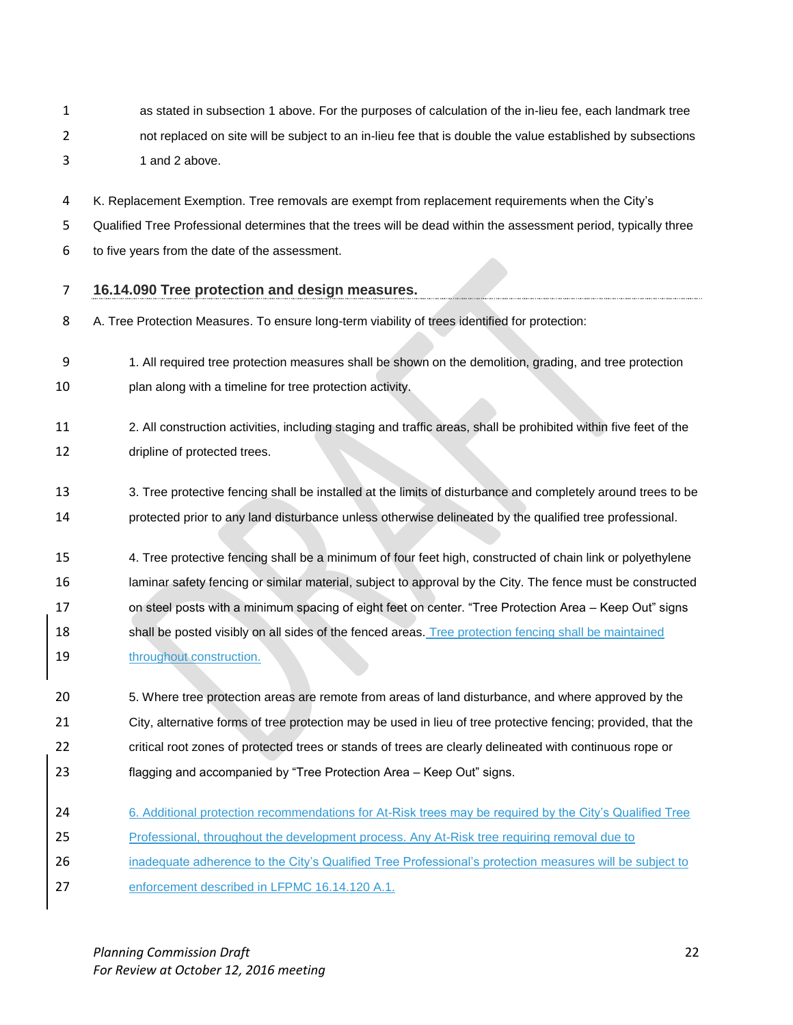- as stated in subsection 1 above. For the purposes of calculation of the in-lieu fee, each landmark tree not replaced on site will be subject to an in-lieu fee that is double the value established by subsections 3 1 and 2 above.
- K. Replacement Exemption. Tree removals are exempt from replacement requirements when the City's
- Qualified Tree Professional determines that the trees will be dead within the assessment period, typically three
- to five years from the date of the assessment.
- **16.14.090 Tree protection and design measures.**
- A. Tree Protection Measures. To ensure long-term viability of trees identified for protection:
- 1. All required tree protection measures shall be shown on the demolition, grading, and tree protection
- plan along with a timeline for tree protection activity.
- 2. All construction activities, including staging and traffic areas, shall be prohibited within five feet of the dripline of protected trees.
- 3. Tree protective fencing shall be installed at the limits of disturbance and completely around trees to be protected prior to any land disturbance unless otherwise delineated by the qualified tree professional.
- 4. Tree protective fencing shall be a minimum of four feet high, constructed of chain link or polyethylene 16 laminar safety fencing or similar material, subject to approval by the City. The fence must be constructed on steel posts with a minimum spacing of eight feet on center. "Tree Protection Area – Keep Out" signs 18 shall be posted visibly on all sides of the fenced areas. Tree protection fencing shall be maintained 19 throughout construction.
- 5. Where tree protection areas are remote from areas of land disturbance, and where approved by the City, alternative forms of tree protection may be used in lieu of tree protective fencing; provided, that the critical root zones of protected trees or stands of trees are clearly delineated with continuous rope or flagging and accompanied by "Tree Protection Area – Keep Out" signs.
- 24 6. Additional protection recommendations for At-Risk trees may be required by the City's Qualified Tree
- Professional, throughout the development process. Any At-Risk tree requiring removal due to
- **inadequate adherence to the City's Qualified Tree Professional's protection measures will be subject to**
- enforcement described in LFPMC 16.14.120 A.1.

*Planning Commission Draft* 22 *For Review at October 12, 2016 meeting*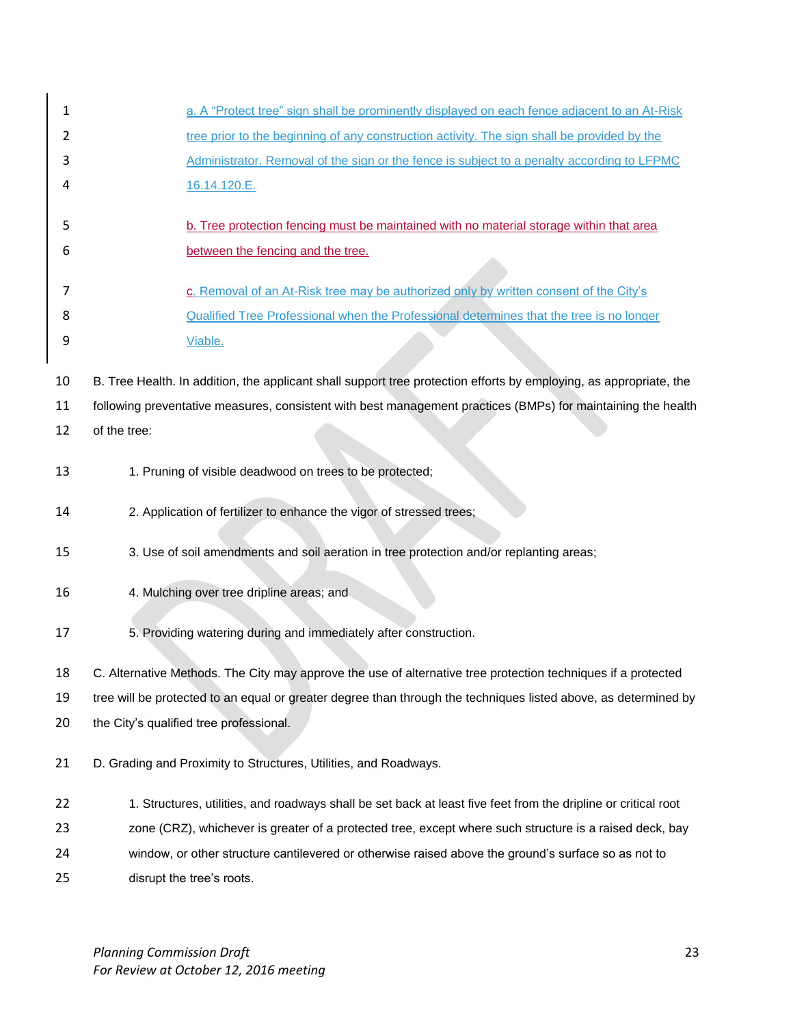| 1  | a. A "Protect tree" sign shall be prominently displayed on each fence adjacent to an At-Risk                       |  |
|----|--------------------------------------------------------------------------------------------------------------------|--|
| 2  | tree prior to the beginning of any construction activity. The sign shall be provided by the                        |  |
| 3  | Administrator. Removal of the sign or the fence is subject to a penalty according to LFPMC                         |  |
| 4  | 16.14.120.E.                                                                                                       |  |
| 5  | b. Tree protection fencing must be maintained with no material storage within that area                            |  |
| 6  | between the fencing and the tree.                                                                                  |  |
|    |                                                                                                                    |  |
| 7  | c. Removal of an At-Risk tree may be authorized only by written consent of the City's                              |  |
| 8  | Qualified Tree Professional when the Professional determines that the tree is no longer                            |  |
| 9  | Viable.                                                                                                            |  |
| 10 | B. Tree Health. In addition, the applicant shall support tree protection efforts by employing, as appropriate, the |  |
| 11 | following preventative measures, consistent with best management practices (BMPs) for maintaining the health       |  |
| 12 | of the tree:                                                                                                       |  |
|    |                                                                                                                    |  |
| 13 | 1. Pruning of visible deadwood on trees to be protected;                                                           |  |
| 14 | 2. Application of fertilizer to enhance the vigor of stressed trees;                                               |  |
| 15 | 3. Use of soil amendments and soil aeration in tree protection and/or replanting areas;                            |  |
|    |                                                                                                                    |  |
| 16 | 4. Mulching over tree dripline areas; and                                                                          |  |
| 17 | 5. Providing watering during and immediately after construction.                                                   |  |
|    |                                                                                                                    |  |
| 18 | C. Alternative Methods. The City may approve the use of alternative tree protection techniques if a protected      |  |
| 19 | tree will be protected to an equal or greater degree than through the techniques listed above, as determined by    |  |
| 20 | the City's qualified tree professional.                                                                            |  |
| 21 | D. Grading and Proximity to Structures, Utilities, and Roadways.                                                   |  |
|    |                                                                                                                    |  |
| 22 | 1. Structures, utilities, and roadways shall be set back at least five feet from the dripline or critical root     |  |
| 23 | zone (CRZ), whichever is greater of a protected tree, except where such structure is a raised deck, bay            |  |
| 24 | window, or other structure cantilevered or otherwise raised above the ground's surface so as not to                |  |
| 25 | disrupt the tree's roots.                                                                                          |  |

*Planning Commission Draft* 23 *For Review at October 12, 2016 meeting*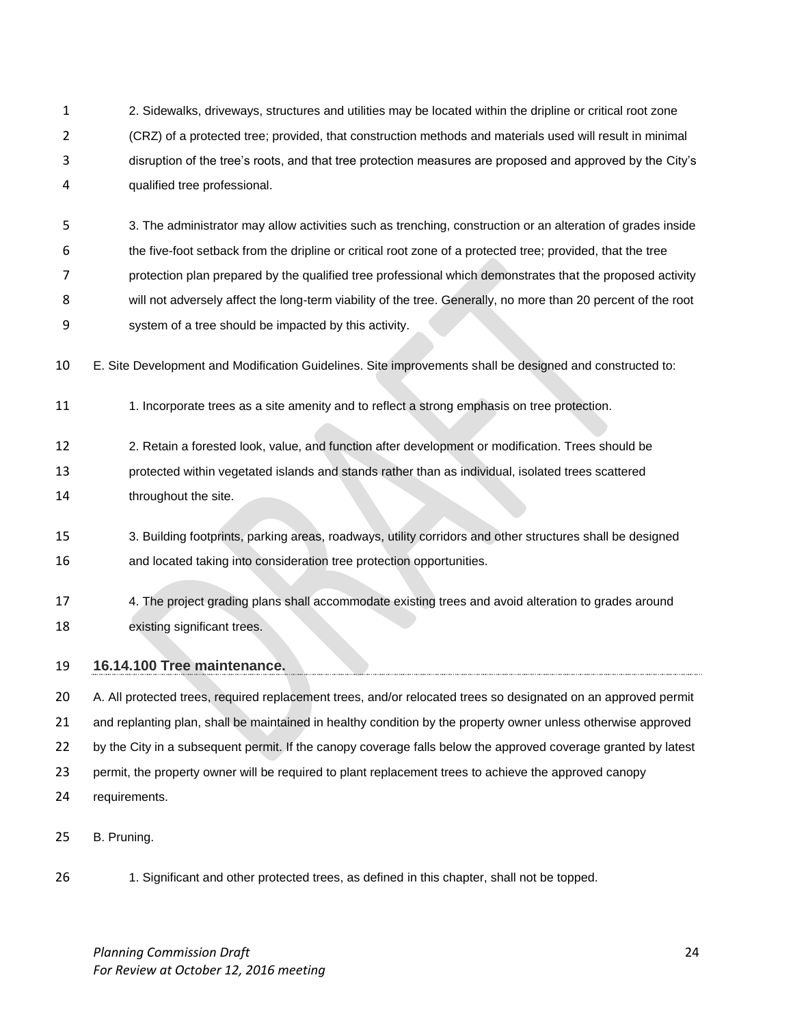2. Sidewalks, driveways, structures and utilities may be located within the dripline or critical root zone (CRZ) of a protected tree; provided, that construction methods and materials used will result in minimal disruption of the tree's roots, and that tree protection measures are proposed and approved by the City's qualified tree professional.

 3. The administrator may allow activities such as trenching, construction or an alteration of grades inside the five-foot setback from the dripline or critical root zone of a protected tree; provided, that the tree protection plan prepared by the qualified tree professional which demonstrates that the proposed activity will not adversely affect the long-term viability of the tree. Generally, no more than 20 percent of the root system of a tree should be impacted by this activity.

E. Site Development and Modification Guidelines. Site improvements shall be designed and constructed to:

11 1. Incorporate trees as a site amenity and to reflect a strong emphasis on tree protection.

- 2. Retain a forested look, value, and function after development or modification. Trees should be protected within vegetated islands and stands rather than as individual, isolated trees scattered **throughout the site.**
- 3. Building footprints, parking areas, roadways, utility corridors and other structures shall be designed and located taking into consideration tree protection opportunities.

 4. The project grading plans shall accommodate existing trees and avoid alteration to grades around existing significant trees.

## **16.14.100 Tree maintenance.**

20 A. All protected trees, required replacement trees, and/or relocated trees so designated on an approved permit and replanting plan, shall be maintained in healthy condition by the property owner unless otherwise approved 22 by the City in a subsequent permit. If the canopy coverage falls below the approved coverage granted by latest permit, the property owner will be required to plant replacement trees to achieve the approved canopy requirements.

B. Pruning.

1. Significant and other protected trees, as defined in this chapter, shall not be topped.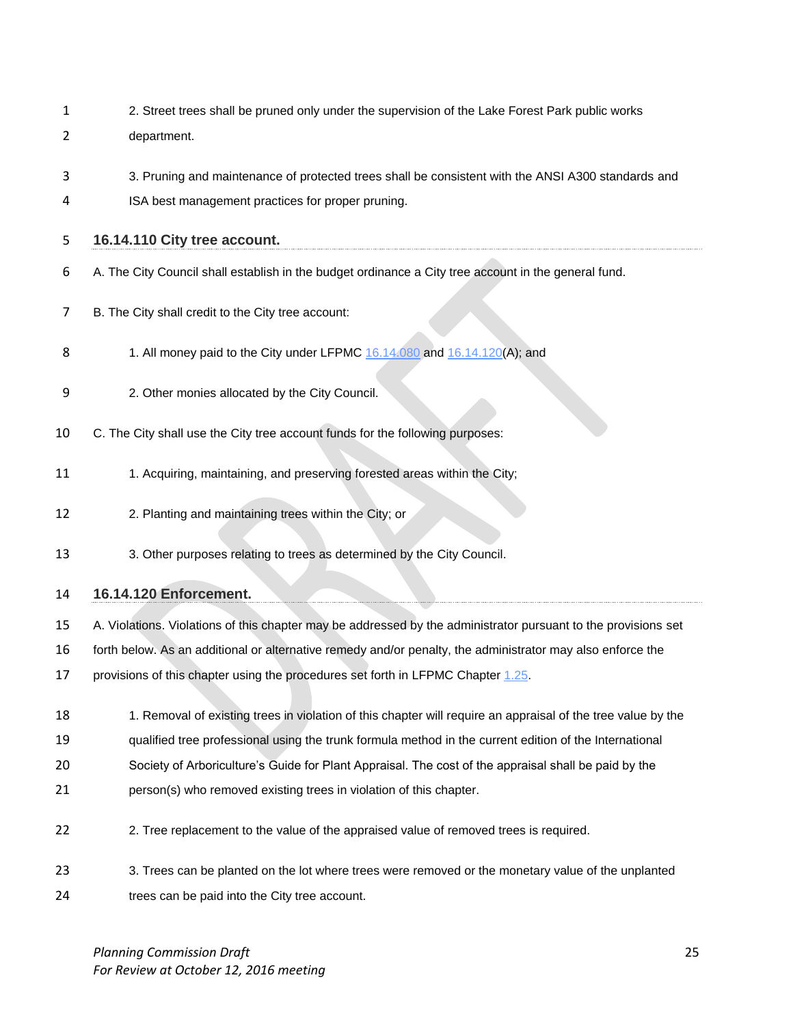- 2. Street trees shall be pruned only under the supervision of the Lake Forest Park public works department.
- 3. Pruning and maintenance of protected trees shall be consistent with the ANSI A300 standards and
- ISA best management practices for proper pruning.

#### **16.14.110 City tree account.**

- A. The City Council shall establish in the budget ordinance a City tree account in the general fund.
- B. The City shall credit to the City tree account:
- 8 1. All money paid to the City under LFPMC [16.14.080](http://www.codepublishing.com/WA/LakeForestPark/html/LakeForestPark16/LakeForestPark1614.html#16.14.080) and [16.14.120\(](http://www.codepublishing.com/WA/LakeForestPark/html/LakeForestPark16/LakeForestPark1614.html#16.14.120)A); and
- 2. Other monies allocated by the City Council.
- C. The City shall use the City tree account funds for the following purposes:
- 11 1. Acquiring, maintaining, and preserving forested areas within the City;
- 12 2. Planting and maintaining trees within the City; or
- 3. Other purposes relating to trees as determined by the City Council.

## **16.14.120 Enforcement.**

- A. Violations. Violations of this chapter may be addressed by the administrator pursuant to the provisions set
- forth below. As an additional or alternative remedy and/or penalty, the administrator may also enforce the

17 provisions of this chapter using the procedures set forth in LFPMC Chapter 1.25.

- 18 18 1. Removal of existing trees in violation of this chapter will require an appraisal of the tree value by the
- qualified tree professional using the trunk formula method in the current edition of the International
- Society of Arboriculture's Guide for Plant Appraisal. The cost of the appraisal shall be paid by the
- person(s) who removed existing trees in violation of this chapter.
- 2. Tree replacement to the value of the appraised value of removed trees is required.
- 3. Trees can be planted on the lot where trees were removed or the monetary value of the unplanted
- trees can be paid into the City tree account.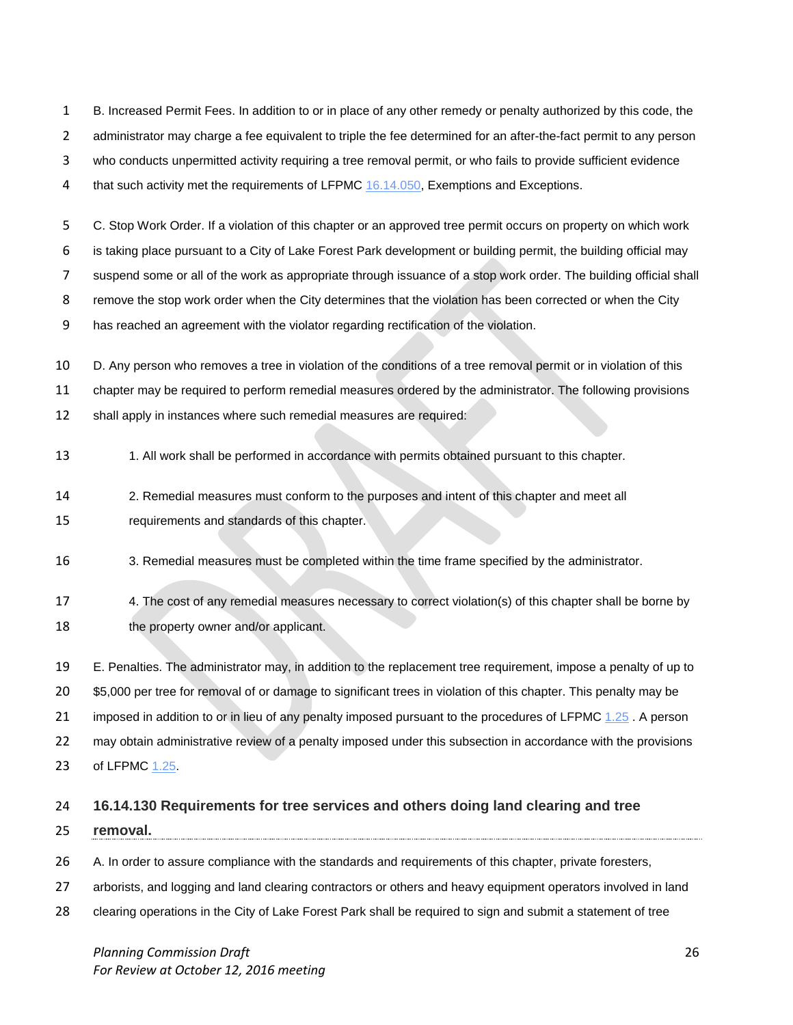B. Increased Permit Fees. In addition to or in place of any other remedy or penalty authorized by this code, the 2 administrator may charge a fee equivalent to triple the fee determined for an after-the-fact permit to any person who conducts unpermitted activity requiring a tree removal permit, or who fails to provide sufficient evidence

4 that such activity met the requirements of LFPMC [16.14.050,](http://www.codepublishing.com/WA/LakeForestPark/html/LakeForestPark16/LakeForestPark1614.html#16.14.050) Exemptions and Exceptions.

 C. Stop Work Order. If a violation of this chapter or an approved tree permit occurs on property on which work is taking place pursuant to a City of Lake Forest Park development or building permit, the building official may suspend some or all of the work as appropriate through issuance of a stop work order. The building official shall remove the stop work order when the City determines that the violation has been corrected or when the City

has reached an agreement with the violator regarding rectification of the violation.

 D. Any person who removes a tree in violation of the conditions of a tree removal permit or in violation of this chapter may be required to perform remedial measures ordered by the administrator. The following provisions shall apply in instances where such remedial measures are required:

- 13 1. All work shall be performed in accordance with permits obtained pursuant to this chapter.
- 2. Remedial measures must conform to the purposes and intent of this chapter and meet all requirements and standards of this chapter.
- 3. Remedial measures must be completed within the time frame specified by the administrator.
- 4. The cost of any remedial measures necessary to correct violation(s) of this chapter shall be borne by 18 the property owner and/or applicant.

 E. Penalties. The administrator may, in addition to the replacement tree requirement, impose a penalty of up to \$5,000 per tree for removal of or damage to significant trees in violation of this chapter. This penalty may be 21 imposed in addition to or in lieu of any penalty imposed pursuant to the procedures of LFPMC [1.25](http://www.codepublishing.com/WA/LakeForestPark/html/LakeForestPark18/LakeForestPark1871.html#18.71.070). A person may obtain administrative review of a penalty imposed under this subsection in accordance with the provisions of LFPMC [1.25.](http://www.codepublishing.com/WA/LakeForestPark/html/LakeForestPark18/LakeForestPark1871.html#18.71.070)

## **16.14.130 Requirements for tree services and others doing land clearing and tree**

- **removal.**
- A. In order to assure compliance with the standards and requirements of this chapter, private foresters,
- arborists, and logging and land clearing contractors or others and heavy equipment operators involved in land
- clearing operations in the City of Lake Forest Park shall be required to sign and submit a statement of tree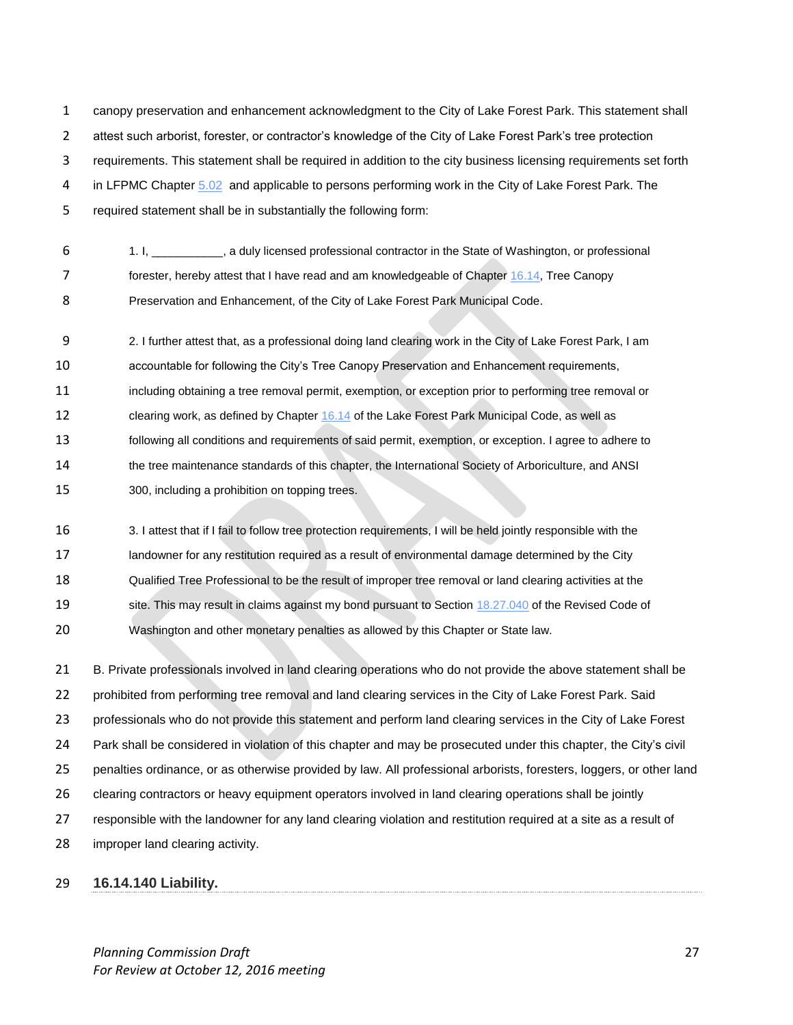canopy preservation and enhancement acknowledgment to the City of Lake Forest Park. This statement shall attest such arborist, forester, or contractor's knowledge of the City of Lake Forest Park's tree protection requirements. This statement shall be required in addition to the city business licensing requirements set forth 4 in LFPMC Chapter [5.02](http://www.codepublishing.com/WA/LakeForestPark/html/LakeForestPark05/LakeForestPark0502.html#5.02) and applicable to persons performing work in the City of Lake Forest Park. The required statement shall be in substantially the following form:

- 1. I, \_\_\_\_\_\_\_\_\_\_\_, a duly licensed professional contractor in the State of Washington, or professional 7 forester, hereby attest that I have read and am knowledgeable of Chapter [16.14,](http://www.codepublishing.com/WA/LakeForestPark/html/LakeForestPark16/LakeForestPark1614.html#16.14) Tree Canopy
- Preservation and Enhancement, of the City of Lake Forest Park Municipal Code.

 2. I further attest that, as a professional doing land clearing work in the City of Lake Forest Park, I am accountable for following the City's Tree Canopy Preservation and Enhancement requirements, including obtaining a tree removal permit, exemption, or exception prior to performing tree removal or 12 clearing work, as defined by Chapter [16.14](http://www.codepublishing.com/WA/LakeForestPark/html/LakeForestPark16/LakeForestPark1614.html#16.14) of the Lake Forest Park Municipal Code, as well as following all conditions and requirements of said permit, exemption, or exception. I agree to adhere to the tree maintenance standards of this chapter, the International Society of Arboriculture, and ANSI 300, including a prohibition on topping trees.

 3. I attest that if I fail to follow tree protection requirements, I will be held jointly responsible with the 17 landowner for any restitution required as a result of environmental damage determined by the City Qualified Tree Professional to be the result of improper tree removal or land clearing activities at the 19 site. This may result in claims against my bond pursuant to Section [18.27.040](http://www.codepublishing.com/cgi-bin/rcw.pl?cite=18.27.040) of the Revised Code of Washington and other monetary penalties as allowed by this Chapter or State law.

 B. Private professionals involved in land clearing operations who do not provide the above statement shall be 22 prohibited from performing tree removal and land clearing services in the City of Lake Forest Park. Said professionals who do not provide this statement and perform land clearing services in the City of Lake Forest Park shall be considered in violation of this chapter and may be prosecuted under this chapter, the City's civil penalties ordinance, or as otherwise provided by law. All professional arborists, foresters, loggers, or other land clearing contractors or heavy equipment operators involved in land clearing operations shall be jointly responsible with the landowner for any land clearing violation and restitution required at a site as a result of improper land clearing activity.

## **16.14.140 Liability.**